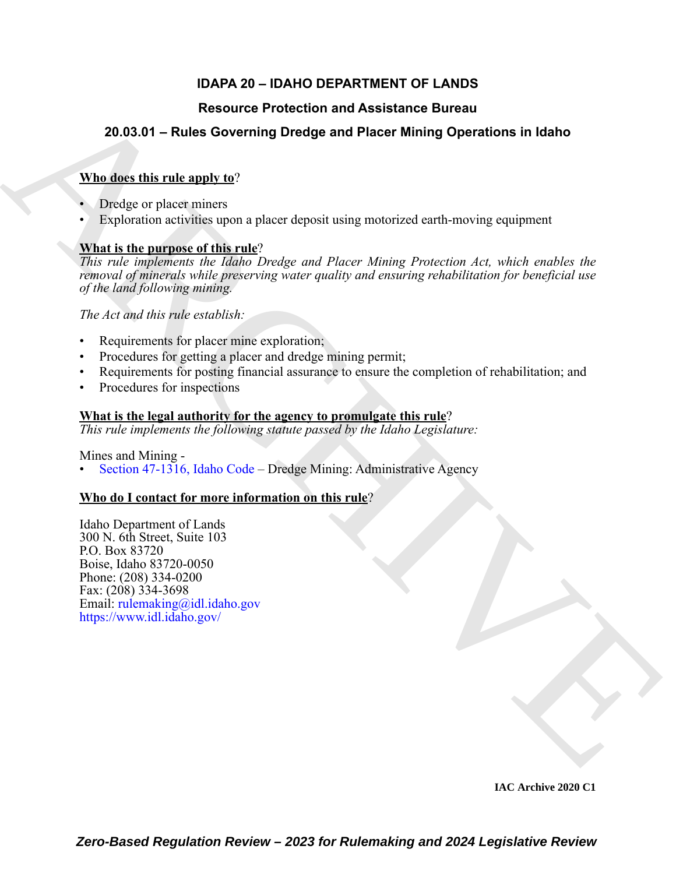# **IDAPA 20 – IDAHO DEPARTMENT OF LANDS**

# **Resource Protection and Assistance Bureau**

# **20.03.01 – Rules Governing Dredge and Placer Mining Operations in Idaho**

# **Who does this rule apply to**?

- Dredge or placer miners
- Exploration activities upon a placer deposit using motorized earth-moving equipment

# **What is the purpose of this rule**?

Resource Protection and Assistance Bureau<br>
20.03.01 – Rules Governing Drodge and Placer Mining Operations in Idaho<br>
What is the internal materials upon a placer depoir using motorized certi-moving equipment<br>  $\frac{\text{Wln} \hat{\mu$ *This rule implements the Idaho Dredge and Placer Mining Protection Act, which enables the removal of minerals while preserving water quality and ensuring rehabilitation for beneficial use of the land following mining.* 

*The Act and this rule establish:*

- Requirements for placer mine exploration;
- Procedures for getting a placer and dredge mining permit;
- Requirements for posting financial assurance to ensure the completion of rehabilitation; and
- Procedures for inspections

# **What is the legal authority for the agency to promulgate this rule**?

*This rule implements the following statute passed by the Idaho Legislature:*

Mines and Mining -

• Section 47-1316, Idaho Code – Dredge Mining: Administrative Agency

# **Who do I contact for more information on this rule**?

Idaho Department of Lands 300 N. 6th Street, Suite 103 P.O. Box 83720 Boise, Idaho 83720-0050 Phone: (208) 334-0200 Fax: (208) 334-3698 Email: rulemaking@idl.idaho.gov https://www.idl.idaho.gov/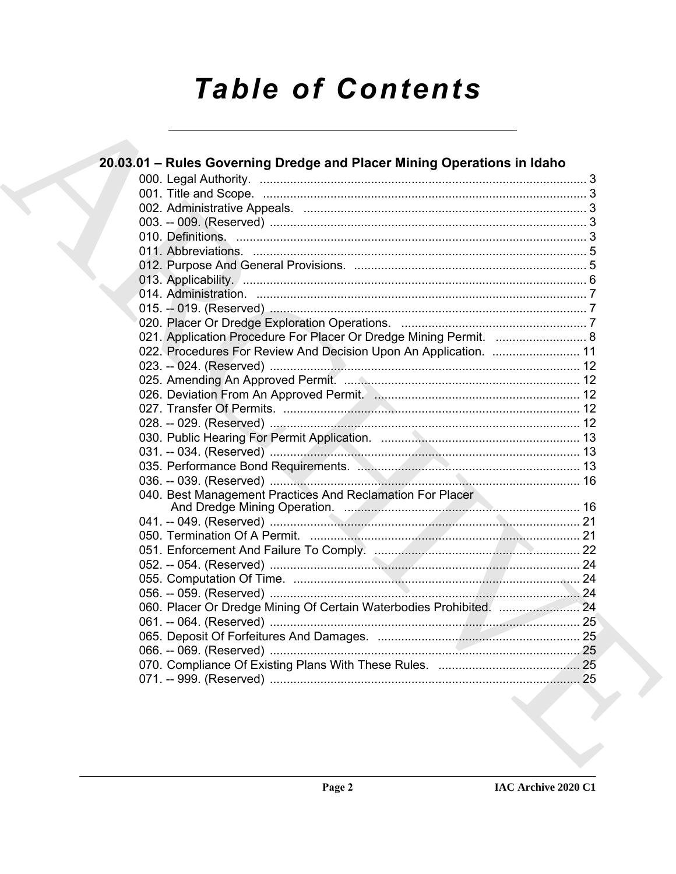# **Table of Contents**

 $\overline{\phantom{a}}$ 

| 20.03.01 – Rules Governing Dredge and Placer Mining Operations in Idaho |  |
|-------------------------------------------------------------------------|--|
|                                                                         |  |
|                                                                         |  |
|                                                                         |  |
|                                                                         |  |
|                                                                         |  |
|                                                                         |  |
|                                                                         |  |
|                                                                         |  |
|                                                                         |  |
|                                                                         |  |
|                                                                         |  |
| 021. Application Procedure For Placer Or Dredge Mining Permit.  8       |  |
| 022. Procedures For Review And Decision Upon An Application.  11        |  |
|                                                                         |  |
|                                                                         |  |
|                                                                         |  |
|                                                                         |  |
|                                                                         |  |
|                                                                         |  |
|                                                                         |  |
|                                                                         |  |
|                                                                         |  |
| 040. Best Management Practices And Reclamation For Placer               |  |
|                                                                         |  |
|                                                                         |  |
|                                                                         |  |
|                                                                         |  |
|                                                                         |  |
|                                                                         |  |
|                                                                         |  |
|                                                                         |  |
|                                                                         |  |
|                                                                         |  |
|                                                                         |  |
|                                                                         |  |
|                                                                         |  |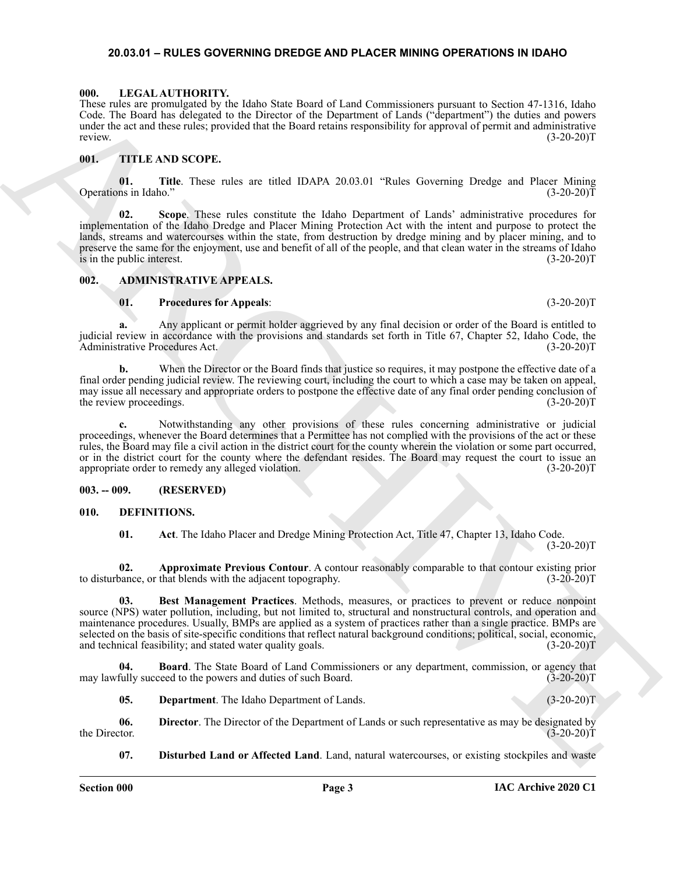#### <span id="page-2-15"></span><span id="page-2-0"></span>**20.03.01 – RULES GOVERNING DREDGE AND PLACER MINING OPERATIONS IN IDAHO**

#### <span id="page-2-1"></span>**000. LEGAL AUTHORITY.**

These rules are promulgated by the Idaho State Board of Land Commissioners pursuant to Section 47-1316, Idaho Code. The Board has delegated to the Director of the Department of Lands ("department") the duties and powers under the act and these rules; provided that the Board retains responsibility for approval of permit and administrative review. (3-20-20)T

#### <span id="page-2-16"></span><span id="page-2-2"></span>**001. TITLE AND SCOPE.**

**01.** Title. These rules are titled IDAPA 20.03.01 "Rules Governing Dredge and Placer Mining ns in Idaho." (3-20-20) Operations in Idaho."

These terms relations of the same state of the same state of the components process or School 17.130 interests that the same state of the same state of the same state of the same state of the same state of the same state **02. Scope**. These rules constitute the Idaho Department of Lands' administrative procedures for implementation of the Idaho Dredge and Placer Mining Protection Act with the intent and purpose to protect the lands, streams and watercourses within the state, from destruction by dredge mining and by placer mining, and to preserve the same for the enjoyment, use and benefit of all of the people, and that clean water in the streams of Idaho is in the public interest. (3-20-20)T

#### <span id="page-2-3"></span>**002. ADMINISTRATIVE APPEALS.**

#### <span id="page-2-6"></span>**01. Procedures for Appeals**: (3-20-20)T

**a.** Any applicant or permit holder aggrieved by any final decision or order of the Board is entitled to judicial review in accordance with the provisions and standards set forth in Title 67, Chapter 52, Idaho Code, the Administrative Procedures Act. (3-20-20)T Administrative Procedures Act.

**b.** When the Director or the Board finds that justice so requires, it may postpone the effective date of a final order pending judicial review. The reviewing court, including the court to which a case may be taken on appeal, may issue all necessary and appropriate orders to postpone the effective date of any final order pending conclusion of the review proceedings. (3-20-20)T

**c.** Notwithstanding any other provisions of these rules concerning administrative or judicial proceedings, whenever the Board determines that a Permittee has not complied with the provisions of the act or these rules, the Board may file a civil action in the district court for the county wherein the violation or some part occurred, or in the district court for the county where the defendant resides. The Board may request the court to issue an appropriate order to remedy any alleged violation. (3-20-20)T

#### <span id="page-2-4"></span>**003. -- 009. (RESERVED)**

#### <span id="page-2-5"></span>**010. DEFINITIONS.**

<span id="page-2-10"></span><span id="page-2-9"></span><span id="page-2-8"></span><span id="page-2-7"></span>**01. Act**. The Idaho Placer and Dredge Mining Protection Act, Title 47, Chapter 13, Idaho Code.  $(3-20-20)T$ 

**02. Approximate Previous Contour**. A contour reasonably comparable to that contour existing prior to disturbance, or that blends with the adjacent topography. (3-20-20)T

**03. Best Management Practices**. Methods, measures, or practices to prevent or reduce nonpoint source (NPS) water pollution, including, but not limited to, structural and nonstructural controls, and operation and maintenance procedures. Usually, BMPs are applied as a system of practices rather than a single practice. BMPs are selected on the basis of site-specific conditions that reflect natural background conditions; political, social, economic, and technical feasibility; and stated water quality goals. (3-20-20)T

**04. Board**. The State Board of Land Commissioners or any department, commission, or agency that fully succeed to the powers and duties of such Board. (3-20-20)T may lawfully succeed to the powers and duties of such Board.

<span id="page-2-13"></span><span id="page-2-12"></span><span id="page-2-11"></span>**05. Department**. The Idaho Department of Lands. (3-20-20)T

**06.** Director. The Director of the Department of Lands or such representative as may be designated by the Director. (3-20-20) the Director.  $(3-20-20)T$ 

<span id="page-2-14"></span>**07. Disturbed Land or Affected Land**. Land, natural watercourses, or existing stockpiles and waste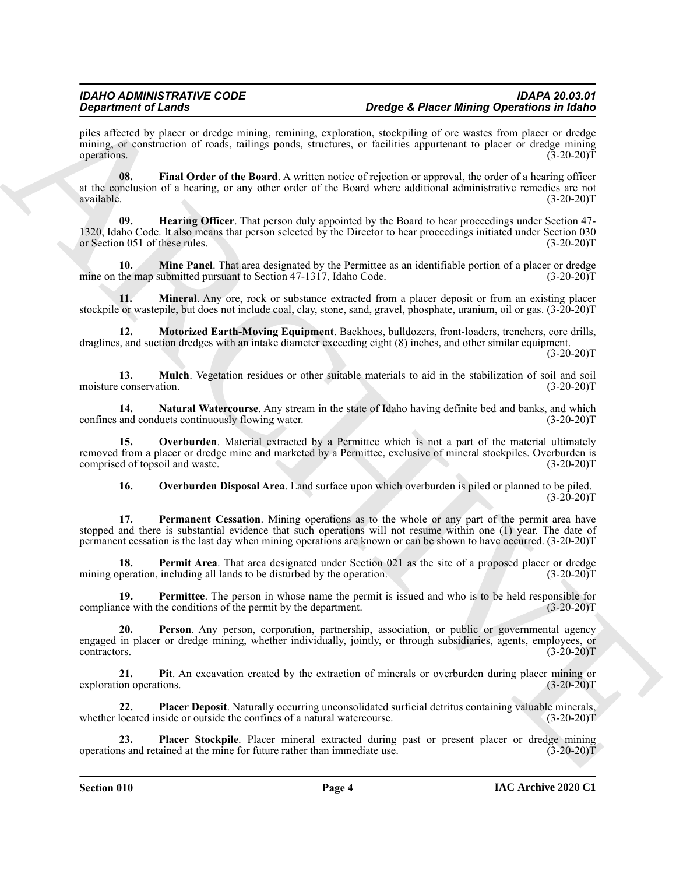Dependent of Laboration and the state increase the number of the state increase the proposition is the state of the state of the state of the state of the state of the state of the state of the state of the state of the s piles affected by placer or dredge mining, remining, exploration, stockpiling of ore wastes from placer or dredge mining, or construction of roads, tailings ponds, structures, or facilities appurtenant to placer or dredge mining operations. (3-20-20) operations.  $(3-20-20)T$ 

<span id="page-3-0"></span>**08. Final Order of the Board**. A written notice of rejection or approval, the order of a hearing officer at the conclusion of a hearing, or any other order of the Board where additional administrative remedies are not<br>(3-20-20)T  $a$ vailable.  $(3-20-20)T$ 

<span id="page-3-1"></span>**09. Hearing Officer**. That person duly appointed by the Board to hear proceedings under Section 47- 1320, Idaho Code. It also means that person selected by the Director to hear proceedings initiated under Section 030 or Section 051 of these rules.

<span id="page-3-2"></span>**10. Mine Panel**. That area designated by the Permittee as an identifiable portion of a placer or dredge the map submitted pursuant to Section 47-1317, Idaho Code. (3-20-20) mine on the map submitted pursuant to Section  $47-1317$ , Idaho Code.

<span id="page-3-3"></span>**11. Mineral**. Any ore, rock or substance extracted from a placer deposit or from an existing placer stockpile or wastepile, but does not include coal, clay, stone, sand, gravel, phosphate, uranium, oil or gas. (3-20-20)T

<span id="page-3-4"></span>**12. Motorized Earth-Moving Equipment**. Backhoes, bulldozers, front-loaders, trenchers, core drills, draglines, and suction dredges with an intake diameter exceeding eight (8) inches, and other similar equipment.

 $(3-20-20)T$ 

<span id="page-3-5"></span>**13. Mulch**. Vegetation residues or other suitable materials to aid in the stabilization of soil and soil conservation. (3-20-20) moisture conservation.

<span id="page-3-6"></span>**14.** Natural Watercourse. Any stream in the state of Idaho having definite bed and banks, and which and conducts continuously flowing water.  $(3-20-20)$ confines and conducts continuously flowing water.

**15. Overburden**. Material extracted by a Permittee which is not a part of the material ultimately removed from a placer or dredge mine and marketed by a Permittee, exclusive of mineral stockpiles. Overburden is comprised of topsoil and waste. (3-20-20) comprised of topsoil and waste.

<span id="page-3-10"></span><span id="page-3-9"></span><span id="page-3-8"></span><span id="page-3-7"></span>**16. Overburden Disposal Area**. Land surface upon which overburden is piled or planned to be piled.  $(3-20-20)T$ 

**17. Permanent Cessation**. Mining operations as to the whole or any part of the permit area have stopped and there is substantial evidence that such operations will not resume within one (1) year. The date of permanent cessation is the last day when mining operations are known or can be shown to have occurred. (3-20-20)T

**18. Permit Area**. That area designated under Section 021 as the site of a proposed placer or dredge peration. including all lands to be disturbed by the operation. mining operation, including all lands to be disturbed by the operation.

<span id="page-3-11"></span>**19. Permittee**. The person in whose name the permit is issued and who is to be held responsible for the conditions of the permit by the department. (3-20-20) compliance with the conditions of the permit by the department.

<span id="page-3-12"></span>**20. Person**. Any person, corporation, partnership, association, or public or governmental agency engaged in placer or dredge mining, whether individually, jointly, or through subsidiaries, agents, employees, or contractors. (3-20-20)T

<span id="page-3-13"></span>**21.** Pit. An excavation created by the extraction of minerals or overburden during placer mining or on operations. (3-20-20) exploration operations.

<span id="page-3-14"></span>**22. Placer Deposit**. Naturally occurring unconsolidated surficial detritus containing valuable minerals, located inside or outside the confines of a natural watercourse. (3-20-20)<sup>T</sup> whether located inside or outside the confines of a natural watercourse.

<span id="page-3-15"></span>**Placer Stockpile**. Placer mineral extracted during past or present placer or dredge mining cained at the mine for future rather than immediate use. (3-20-20)<sup>T</sup> operations and retained at the mine for future rather than immediate use.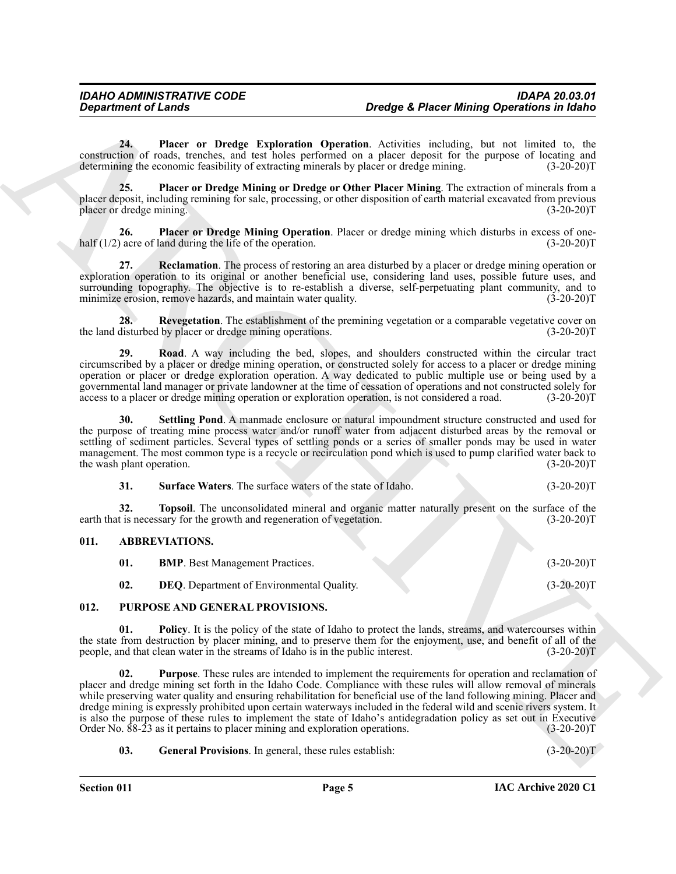<span id="page-4-5"></span>**24. Placer or Dredge Exploration Operation**. Activities including, but not limited to, the construction of roads, trenches, and test holes performed on a placer deposit for the purpose of locating and determining the economic feasibility of extracting minerals by placer or dredge mining. (3-20-20) determining the economic feasibility of extracting minerals by placer or dredge mining.

<span id="page-4-7"></span>**25. Placer or Dredge Mining or Dredge or Other Placer Mining**. The extraction of minerals from a placer deposit, including remining for sale, processing, or other disposition of earth material excavated from previous placer or dredge mining. (3-20-20)T

<span id="page-4-6"></span>**26.** Placer or Dredge Mining Operation. Placer or dredge mining which disturbs in excess of one-<br>acre of land during the life of the operation. (3-20-20) half  $(1/2)$  acre of land during the life of the operation.

<span id="page-4-8"></span>**27. Reclamation**. The process of restoring an area disturbed by a placer or dredge mining operation or exploration operation to its original or another beneficial use, considering land uses, possible future uses, and surrounding topography. The objective is to re-establish a diverse, self-perpetuating plant community, and to minimize erosion, remove hazards, and maintain water quality. (3-20-20) minimize erosion, remove hazards, and maintain water quality.

<span id="page-4-9"></span>**28.** Revegetation. The establishment of the premining vegetation or a comparable vegetative cover on the land disturbed by placer or dredge mining operations. (3-20-20)T

<span id="page-4-10"></span>**29. Road**. A way including the bed, slopes, and shoulders constructed within the circular tract circumscribed by a placer or dredge mining operation, or constructed solely for access to a placer or dredge mining operation or placer or dredge exploration operation. A way dedicated to public multiple use or being used by a governmental land manager or private landowner at the time of cessation of operations and not constructed solely for access to a placer or dredge mining operation or exploration operation, is not considered a road. (3-20-20)T

<span id="page-4-11"></span>**30. Settling Pond**. A manmade enclosure or natural impoundment structure constructed and used for the purpose of treating mine process water and/or runoff water from adjacent disturbed areas by the removal or settling of sediment particles. Several types of settling ponds or a series of smaller ponds may be used in water management. The most common type is a recycle or recirculation pond which is used to pump clarified water back to the wash plant operation. (3-20-20)T

<span id="page-4-13"></span><span id="page-4-12"></span>

| 31. | <b>Surface Waters.</b> The surface waters of the state of Idaho. | $(3-20-20)T$ |
|-----|------------------------------------------------------------------|--------------|
|-----|------------------------------------------------------------------|--------------|

**32. Topsoil**. The unconsolidated mineral and organic matter naturally present on the surface of the tis necessary for the growth and regeneration of vegetation. (3-20-20) earth that is necessary for the growth and regeneration of vegetation.

#### <span id="page-4-0"></span>**011. ABBREVIATIONS.**

<span id="page-4-16"></span><span id="page-4-14"></span><span id="page-4-4"></span><span id="page-4-3"></span><span id="page-4-2"></span>

| <b>BMP.</b> Best Management Practices.           | $(3-20-20)T$ |
|--------------------------------------------------|--------------|
| <b>DEQ.</b> Department of Environmental Quality. | $(3-20-20)T$ |

### <span id="page-4-1"></span>**012. PURPOSE AND GENERAL PROVISIONS.**

<span id="page-4-17"></span>**01. Policy**. It is the policy of the state of Idaho to protect the lands, streams, and watercourses within the state from destruction by placer mining, and to preserve them for the enjoyment, use, and benefit of all of the people, and that clean water in the streams of Idaho is in the public interest. (3-20-20)T

**Design the extreme of Lensis<br>
2.** Order Correlation Controlling, Operation Spiritual Correlation Controlling, the solution of the second of the system of the system of the system of the system of the system of the system **02. Purpose**. These rules are intended to implement the requirements for operation and reclamation of placer and dredge mining set forth in the Idaho Code. Compliance with these rules will allow removal of minerals while preserving water quality and ensuring rehabilitation for beneficial use of the land following mining. Placer and dredge mining is expressly prohibited upon certain waterways included in the federal wild and scenic rivers system. It is also the purpose of these rules to implement the state of Idaho's antidegradation policy as set out in Executive Order No. 88-23 as it pertains to placer mining and exploration operations. (3-20-20) Order No.  $88-23$  as it pertains to placer mining and exploration operations.

### <span id="page-4-15"></span>**03.** General Provisions. In general, these rules establish: (3-20-20)T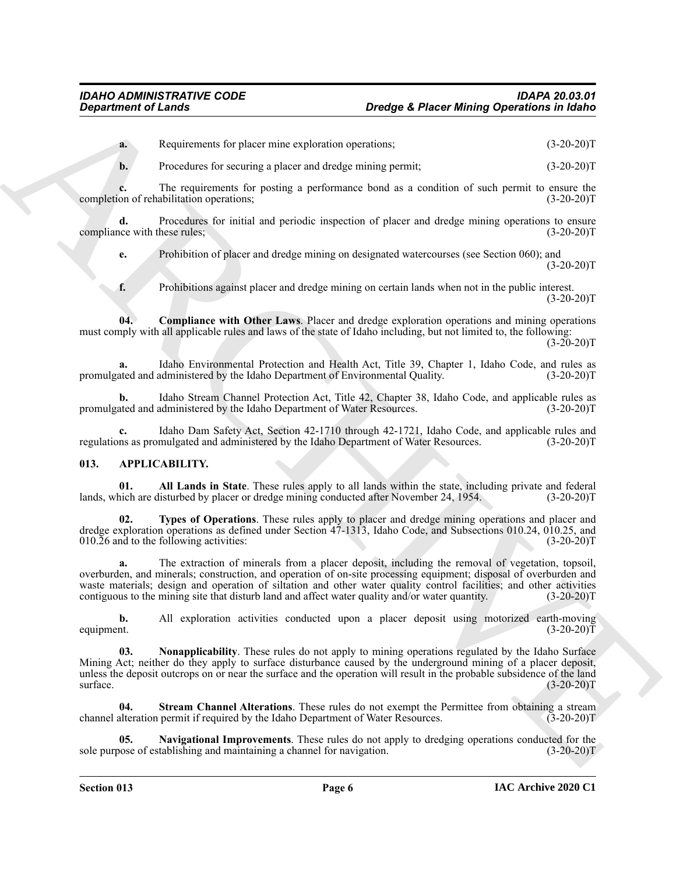**a.** Requirements for placer mine exploration operations; (3-20-20)T

**b.** Procedures for securing a placer and dredge mining permit; (3-20-20)T

**c.** The requirements for posting a performance bond as a condition of such permit to ensure the on of rehabilitation operations; (3-20-20) completion of rehabilitation operations;

**d.** Procedures for initial and periodic inspection of placer and dredge mining operations to ensure compliance with these rules; (3-20-20)T

**e.** Prohibition of placer and dredge mining on designated watercourses (see Section 060); and  $(3-20-20)T$ 

<span id="page-5-7"></span>**f.** Prohibitions against placer and dredge mining on certain lands when not in the public interest.  $(3-20-20)T$ 

**04. Compliance with Other Laws**. Placer and dredge exploration operations and mining operations must comply with all applicable rules and laws of the state of Idaho including, but not limited to, the following:  $(3-20-20)$ T

**a.** Idaho Environmental Protection and Health Act, Title 39, Chapter 1, Idaho Code, and rules as ated and administered by the Idaho Department of Environmental Quality. (3-20-20)T promulgated and administered by the Idaho Department of Environmental Quality.

**b.** Idaho Stream Channel Protection Act, Title 42, Chapter 38, Idaho Code, and applicable rules as ated and administered by the Idaho Department of Water Resources. (3-20-20)T promulgated and administered by the Idaho Department of Water Resources.

Idaho Dam Safety Act, Section 42-1710 through 42-1721, Idaho Code, and applicable rules and mulgated and administered by the Idaho Department of Water Resources. (3-20-20)T regulations as promulgated and administered by the Idaho Department of Water Resources.

### <span id="page-5-1"></span><span id="page-5-0"></span>**013. APPLICABILITY.**

<span id="page-5-2"></span>**01. All Lands in State**. These rules apply to all lands within the state, including private and federal lands, which are disturbed by placer or dredge mining conducted after November 24, 1954. (3-20-20)T

<span id="page-5-6"></span>**02. Types of Operations**. These rules apply to placer and dredge mining operations and placer and dredge exploration operations as defined under Section 47-1313, Idaho Code, and Subsections 010.24, 010.25, and 010.26 and to the following activities: (3-20-20)T

**Designation of Leads Construents: Designation Construents: Construents:** (5.29.2017)<br>
A Develocion be place main exploration and designations: (5.29.2017)<br>
A Develocion de place main exploration bend in a solution **a.** The extraction of minerals from a placer deposit, including the removal of vegetation, topsoil, overburden, and minerals; construction, and operation of on-site processing equipment; disposal of overburden and waste materials; design and operation of siltation and other water quality control facilities; and other activities contiguous to the mining site that disturb land and affect water quality and/or water quantity. (3-20-20)T

**b.** All exploration activities conducted upon a placer deposit using motorized earth-moving equipment. (3-20-20)T equipment.  $(3-20-20)T$ 

<span id="page-5-4"></span>**03. Nonapplicability**. These rules do not apply to mining operations regulated by the Idaho Surface Mining Act; neither do they apply to surface disturbance caused by the underground mining of a placer deposit, unless the deposit outcrops on or near the surface and the operation will result in the probable subsidence of the land surface.  $\text{surface.}$  (3-20-20)T

<span id="page-5-5"></span>**04.** Stream Channel Alterations. These rules do not exempt the Permittee from obtaining a stream alteration permit if required by the Idaho Department of Water Resources. (3-20-20) channel alteration permit if required by the Idaho Department of Water Resources.

<span id="page-5-3"></span>**Navigational Improvements**. These rules do not apply to dredging operations conducted for the tablishing and maintaining a channel for navigation. (3-20-20)<sup>T</sup> sole purpose of establishing and maintaining a channel for navigation.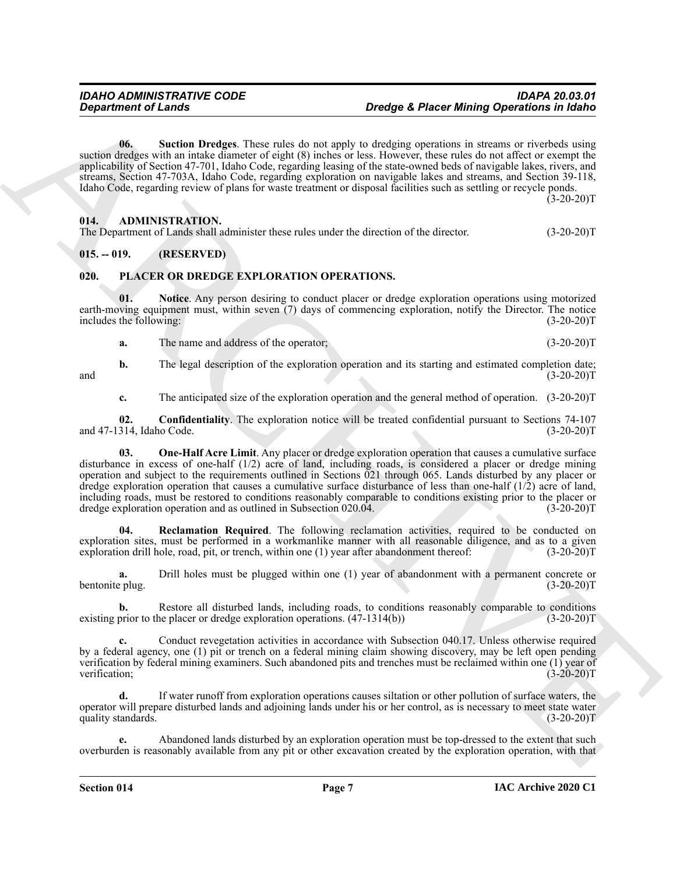<span id="page-6-4"></span>**06. Suction Dredges**. These rules do not apply to dredging operations in streams or riverbeds using suction dredges with an intake diameter of eight (8) inches or less. However, these rules do not affect or exempt the applicability of Section 47-701, Idaho Code, regarding leasing of the state-owned beds of navigable lakes, rivers, and streams, Section 47-703A, Idaho Code, regarding exploration on navigable lakes and streams, and Section 39-118, Idaho Code, regarding review of plans for waste treatment or disposal facilities such as settling or recycle ponds.  $(3-20-20)$ T

#### <span id="page-6-3"></span><span id="page-6-0"></span>**014. ADMINISTRATION.**

The Department of Lands shall administer these rules under the direction of the director. (3-20-20)T

### <span id="page-6-1"></span>**015. -- 019. (RESERVED)**

#### <span id="page-6-5"></span><span id="page-6-2"></span>**020. PLACER OR DREDGE EXPLORATION OPERATIONS.**

**01. Notice**. Any person desiring to conduct placer or dredge exploration operations using motorized earth-moving equipment must, within seven (7) days of commencing exploration, notify the Director. The notice<br>includes the following: (3-20-20)T includes the following:

<span id="page-6-7"></span>**a.** The name and address of the operator; (3-20-20)T

**b.** The legal description of the exploration operation and its starting and estimated completion date;<br>(3-20-20)T and  $(3-20-20)T$ 

<span id="page-6-8"></span><span id="page-6-6"></span>**c.** The anticipated size of the exploration operation and the general method of operation. (3-20-20)T

**02. Confidentiality**. The exploration notice will be treated confidential pursuant to Sections 74-107 314, Idaho Code. (3-20-20) and 47-1314, Idaho Code.

**Design the main of Lendary Constraints of Design Certain and the specifical state of the main of the specifical state of the main of the specifical state of the specifical state of the specifical state of the specifical 03.** One-Half Acre Limit. Any placer or dredge exploration operation that causes a cumulative surface disturbance in excess of one-half (1/2) acre of land, including roads, is considered a placer or dredge mining operation and subject to the requirements outlined in Sections 021 through 065. Lands disturbed by any placer or dredge exploration operation that causes a cumulative surface disturbance of less than one-half (1/2) acre of land, including roads, must be restored to conditions reasonably comparable to conditions existing prior to the placer or dredge exploration operation and as outlined in Subsection 020.04. dredge exploration operation and as outlined in Subsection 020.04.

<span id="page-6-9"></span>**Reclamation Required**. The following reclamation activities, required to be conducted on exploration sites, must be performed in a workmanlike manner with all reasonable diligence, and as to a given exploration drill hole, road, pit, or trench, within one (1) year after abandonment thereof: (3-20-20) exploration drill hole, road, pit, or trench, within one  $(1)$  year after abandonment thereof:

**a.** Drill holes must be plugged within one (1) year of abandonment with a permanent concrete or bentonite plug. (3-20-20)T

**b.** Restore all disturbed lands, including roads, to conditions reasonably comparable to conditions prior to the placer or dredge exploration operations.  $(47-1314(b))$   $(3-20-20)$ existing prior to the placer or dredge exploration operations.  $(47-1314(b))$ 

**c.** Conduct revegetation activities in accordance with Subsection 040.17. Unless otherwise required by a federal agency, one (1) pit or trench on a federal mining claim showing discovery, may be left open pending verification by federal mining examiners. Such abandoned pits and trenches must be reclaimed within one (1) year of verification; (3-20-20)T

**d.** If water runoff from exploration operations causes siltation or other pollution of surface waters, the operator will prepare disturbed lands and adjoining lands under his or her control, as is necessary to meet state water quality standards. (3-20-20)T

**e.** Abandoned lands disturbed by an exploration operation must be top-dressed to the extent that such overburden is reasonably available from any pit or other excavation created by the exploration operation, with that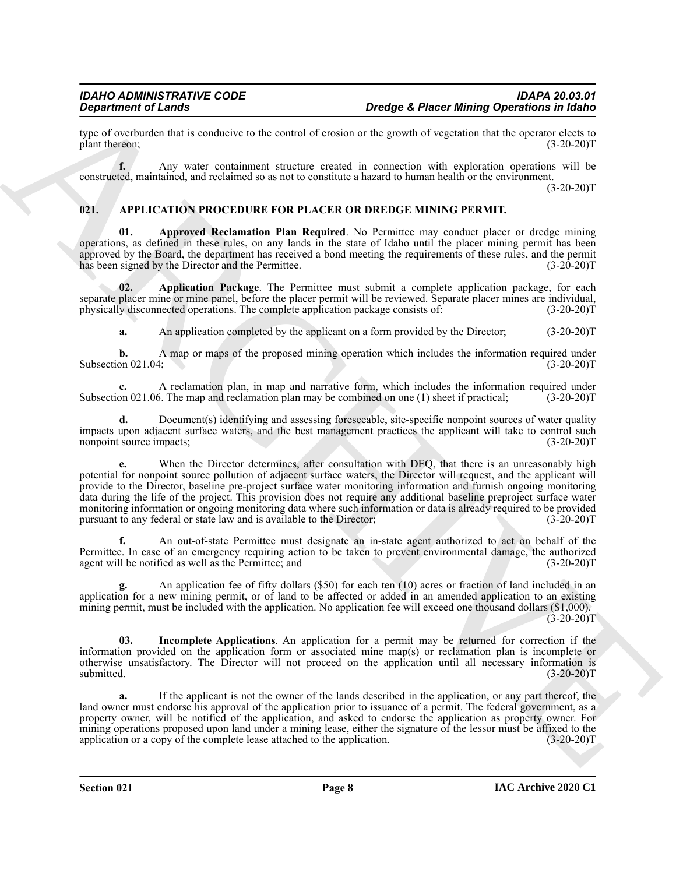type of overburden that is conducive to the control of erosion or the growth of vegetation that the operator elects to plant thereon; (3-20-20) plant thereon;

**f.** Any water containment structure created in connection with exploration operations will be constructed, maintained, and reclaimed so as not to constitute a hazard to human health or the environment.

 $(3-20-20)T$ 

### <span id="page-7-1"></span><span id="page-7-0"></span>**021. APPLICATION PROCEDURE FOR PLACER OR DREDGE MINING PERMIT.**

<span id="page-7-3"></span>**01. Approved Reclamation Plan Required**. No Permittee may conduct placer or dredge mining operations, as defined in these rules, on any lands in the state of Idaho until the placer mining permit has been approved by the Board, the department has received a bond meeting the requirements of these rules, and the permit has been signed by the Director and the Permittee. (3-20-20) has been signed by the Director and the Permittee.

**02. Application Package**. The Permittee must submit a complete application package, for each separate placer mine or mine panel, before the placer permit will be reviewed. Separate placer mines are individual, physically disconnected operations. The complete application package consists of:  $(3-20-20)$ physically disconnected operations. The complete application package consists of:

<span id="page-7-2"></span>**a.** An application completed by the applicant on a form provided by the Director; (3-20-20)T

**b.** A map or maps of the proposed mining operation which includes the information required under on 021.04; (3-20-20) Subsection 021.04;

**c.** A reclamation plan, in map and narrative form, which includes the information required under Subsection 021.06. The map and reclamation plan may be combined on one (1) sheet if practical; (3-20-20)T

**d.** Document(s) identifying and assessing foreseeable, site-specific nonpoint sources of water quality impacts upon adjacent surface waters, and the best management practices the applicant will take to control such nonpoint source impacts; (3-20-20) nonpoint source impacts;

**Designment of Leads Constraints of Leads Constraints of Leads Constraints of Leads Constraints of Leads Constraints of Leads Constraints of Leads Constraints of Leads Constraints of Leads Constraints of Leads Constraints** When the Director determines, after consultation with DEQ, that there is an unreasonably high potential for nonpoint source pollution of adjacent surface waters, the Director will request, and the applicant will provide to the Director, baseline pre-project surface water monitoring information and furnish ongoing monitoring data during the life of the project. This provision does not require any additional baseline preproject surface water monitoring information or ongoing monitoring data where such information or data is already required to be provided<br>pursuant to any federal or state law and is available to the Director; (3-20-20) pursuant to any federal or state law and is available to the Director;

**f.** An out-of-state Permittee must designate an in-state agent authorized to act on behalf of the Permittee. In case of an emergency requiring action to be taken to prevent environmental damage, the authorized agent will be notified as well as the Permittee; and (3-20-20) agent will be notified as well as the Permittee; and

**g.** An application fee of fifty dollars (\$50) for each ten (10) acres or fraction of land included in an application for a new mining permit, or of land to be affected or added in an amended application to an existing mining permit, must be included with the application. No application fee will exceed one thousand dollars (\$1,000).  $(3-20-20)T$ 

<span id="page-7-4"></span>**03. Incomplete Applications**. An application for a permit may be returned for correction if the information provided on the application form or associated mine map(s) or reclamation plan is incomplete or otherwise unsatisfactory. The Director will not proceed on the application until all necessary information is submitted. (3-20-20)T

**a.** If the applicant is not the owner of the lands described in the application, or any part thereof, the land owner must endorse his approval of the application prior to issuance of a permit. The federal government, as a property owner, will be notified of the application, and asked to endorse the application as property owner. For mining operations proposed upon land under a mining lease, either the signature of the lessor must be affixed to the application or a copy of the complete lease attached to the application.  $(3-20-20)$ application or a copy of the complete lease attached to the application.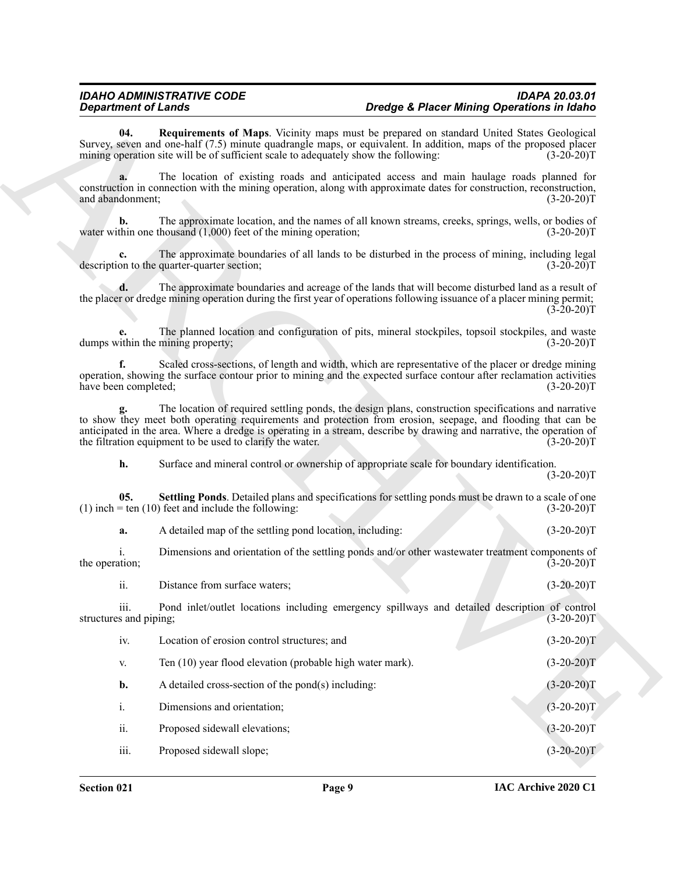<span id="page-8-1"></span><span id="page-8-0"></span>

| <b>Department of Lands</b>     |                                                                                     | Dredge & Placer Mining Operations in Idaho                                                                                                                                                                                                                                                                                                                    |
|--------------------------------|-------------------------------------------------------------------------------------|---------------------------------------------------------------------------------------------------------------------------------------------------------------------------------------------------------------------------------------------------------------------------------------------------------------------------------------------------------------|
| 04.                            | mining operation site will be of sufficient scale to adequately show the following: | Requirements of Maps. Vicinity maps must be prepared on standard United States Geological<br>Survey, seven and one-half (7.5) minute quadrangle maps, or equivalent. In addition, maps of the proposed placer<br>$(3-20-20)T$                                                                                                                                 |
| and abandonment;               |                                                                                     | The location of existing roads and anticipated access and main haulage roads planned for<br>construction in connection with the mining operation, along with approximate dates for construction, reconstruction,<br>$(3-20-20)T$                                                                                                                              |
| b.                             | water within one thousand $(1,000)$ feet of the mining operation;                   | The approximate location, and the names of all known streams, creeks, springs, wells, or bodies of<br>$(3-20-20)T$                                                                                                                                                                                                                                            |
|                                | description to the quarter-quarter section;                                         | The approximate boundaries of all lands to be disturbed in the process of mining, including legal<br>$(3-20-20)T$                                                                                                                                                                                                                                             |
| d.                             |                                                                                     | The approximate boundaries and acreage of the lands that will become disturbed land as a result of<br>the placer or dredge mining operation during the first year of operations following issuance of a placer mining permit;<br>$(3-20-20)T$                                                                                                                 |
|                                | dumps within the mining property;                                                   | The planned location and configuration of pits, mineral stockpiles, topsoil stockpiles, and waste<br>$(3-20-20)T$                                                                                                                                                                                                                                             |
| f.<br>have been completed;     |                                                                                     | Scaled cross-sections, of length and width, which are representative of the placer or dredge mining<br>operation, showing the surface contour prior to mining and the expected surface contour after reclamation activities<br>$(3-20-20)T$                                                                                                                   |
|                                | the filtration equipment to be used to clarify the water.                           | The location of required settling ponds, the design plans, construction specifications and narrative<br>to show they meet both operating requirements and protection from erosion, seepage, and flooding that can be<br>anticipated in the area. Where a dredge is operating in a stream, describe by drawing and narrative, the operation of<br>$(3-20-20)T$ |
| h.                             |                                                                                     | Surface and mineral control or ownership of appropriate scale for boundary identification.<br>$(3-20-20)T$                                                                                                                                                                                                                                                    |
| 05.                            | $(1)$ inch = ten $(10)$ feet and include the following:                             | Settling Ponds. Detailed plans and specifications for settling ponds must be drawn to a scale of one<br>$(3-20-20)T$                                                                                                                                                                                                                                          |
| a.                             | A detailed map of the settling pond location, including:                            | $(3-20-20)T$                                                                                                                                                                                                                                                                                                                                                  |
| 1.<br>the operation;           |                                                                                     | Dimensions and orientation of the settling ponds and/or other wastewater treatment components of<br>$(3-20-20)T$                                                                                                                                                                                                                                              |
| ii.                            | Distance from surface waters;                                                       | $(3-20-20)T$                                                                                                                                                                                                                                                                                                                                                  |
| iii.<br>structures and piping; |                                                                                     | Pond inlet/outlet locations including emergency spillways and detailed description of control<br>$(3-20-20)T$                                                                                                                                                                                                                                                 |
| iv.                            | Location of erosion control structures; and                                         | $(3-20-20)T$                                                                                                                                                                                                                                                                                                                                                  |
| V.                             | Ten (10) year flood elevation (probable high water mark).                           | $(3-20-20)T$                                                                                                                                                                                                                                                                                                                                                  |
| b.                             | A detailed cross-section of the pond(s) including:                                  | $(3-20-20)T$                                                                                                                                                                                                                                                                                                                                                  |
| i.                             | Dimensions and orientation;                                                         | $(3-20-20)T$                                                                                                                                                                                                                                                                                                                                                  |
| ii.                            | Proposed sidewall elevations;                                                       | $(3-20-20)T$                                                                                                                                                                                                                                                                                                                                                  |
|                                | Proposed sidewall slope;                                                            | $(3-20-20)T$                                                                                                                                                                                                                                                                                                                                                  |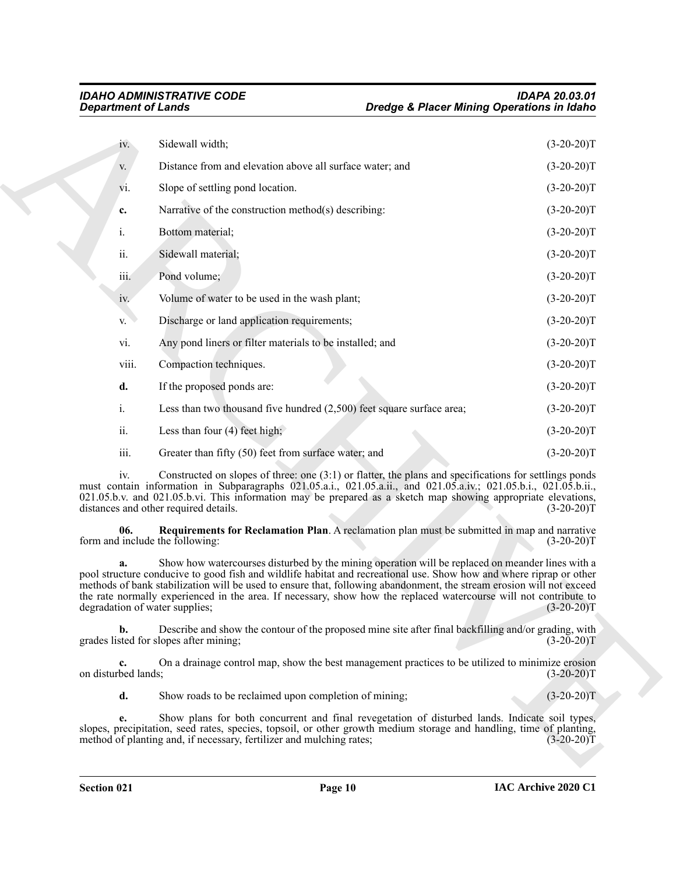<span id="page-9-0"></span>

|                           | <b>Department of Lands</b>                                                                                                                                                                                                                                                                                                                                                                                                                                                                             | Dredge & Placer Mining Operations in Idaho |              |
|---------------------------|--------------------------------------------------------------------------------------------------------------------------------------------------------------------------------------------------------------------------------------------------------------------------------------------------------------------------------------------------------------------------------------------------------------------------------------------------------------------------------------------------------|--------------------------------------------|--------------|
| iv.                       | Sidewall width;                                                                                                                                                                                                                                                                                                                                                                                                                                                                                        |                                            | $(3-20-20)T$ |
| V.                        | Distance from and elevation above all surface water; and                                                                                                                                                                                                                                                                                                                                                                                                                                               |                                            | $(3-20-20)T$ |
| vi.                       | Slope of settling pond location.                                                                                                                                                                                                                                                                                                                                                                                                                                                                       |                                            | $(3-20-20)T$ |
| c.                        | Narrative of the construction method(s) describing:                                                                                                                                                                                                                                                                                                                                                                                                                                                    |                                            | $(3-20-20)T$ |
| i.                        | Bottom material;                                                                                                                                                                                                                                                                                                                                                                                                                                                                                       |                                            | $(3-20-20)T$ |
| ii.                       | Sidewall material;                                                                                                                                                                                                                                                                                                                                                                                                                                                                                     |                                            | $(3-20-20)T$ |
| iii.                      | Pond volume;                                                                                                                                                                                                                                                                                                                                                                                                                                                                                           |                                            | $(3-20-20)T$ |
| iv.                       | Volume of water to be used in the wash plant;                                                                                                                                                                                                                                                                                                                                                                                                                                                          |                                            | $(3-20-20)T$ |
| V.                        | Discharge or land application requirements;                                                                                                                                                                                                                                                                                                                                                                                                                                                            |                                            | $(3-20-20)T$ |
| vi.                       | Any pond liners or filter materials to be installed; and                                                                                                                                                                                                                                                                                                                                                                                                                                               |                                            | $(3-20-20)T$ |
| viii.                     | Compaction techniques.                                                                                                                                                                                                                                                                                                                                                                                                                                                                                 |                                            | $(3-20-20)T$ |
| d.                        | If the proposed ponds are:                                                                                                                                                                                                                                                                                                                                                                                                                                                                             |                                            | $(3-20-20)T$ |
| $\mathbf{i}$ .            | Less than two thousand five hundred $(2,500)$ feet square surface area;                                                                                                                                                                                                                                                                                                                                                                                                                                |                                            | $(3-20-20)T$ |
| ii.                       | Less than four $(4)$ feet high;                                                                                                                                                                                                                                                                                                                                                                                                                                                                        |                                            | $(3-20-20)T$ |
| iii.                      | Greater than fifty (50) feet from surface water; and                                                                                                                                                                                                                                                                                                                                                                                                                                                   |                                            | $(3-20-20)T$ |
| iv.                       | Constructed on slopes of three: one $(3:1)$ or flatter, the plans and specifications for settlings ponds<br>must contain information in Subparagraphs 021.05.a.i., 021.05.a.ii., and 021.05.a.iv.; 021.05.b.i., 021.05.b.ii.,<br>021.05.b.v. and 021.05.b.vi. This information may be prepared as a sketch map showing appropriate elevations,<br>distances and other required details.                                                                                                                |                                            | $(3-20-20)T$ |
| 06.                       | Requirements for Reclamation Plan. A reclamation plan must be submitted in map and narrative<br>form and include the following:                                                                                                                                                                                                                                                                                                                                                                        |                                            | $(3-20-20)T$ |
| a.                        | Show how watercourses disturbed by the mining operation will be replaced on meander lines with a<br>pool structure conducive to good fish and wildlife habitat and recreational use. Show how and where riprap or other<br>methods of bank stabilization will be used to ensure that, following abandonment, the stream erosion will not exceed<br>the rate normally experienced in the area. If necessary, show how the replaced watercourse will not contribute to<br>degradation of water supplies; |                                            | $(3-20-20)T$ |
| $\mathbf{b}$ .            | Describe and show the contour of the proposed mine site after final backfilling and/or grading, with<br>grades listed for slopes after mining;                                                                                                                                                                                                                                                                                                                                                         |                                            | $(3-20-20)T$ |
| c.<br>on disturbed lands; | On a drainage control map, show the best management practices to be utilized to minimize erosion                                                                                                                                                                                                                                                                                                                                                                                                       |                                            | $(3-20-20)T$ |
| d.                        | Show roads to be reclaimed upon completion of mining;                                                                                                                                                                                                                                                                                                                                                                                                                                                  |                                            | $(3-20-20)T$ |
| e.                        | Show plans for both concurrent and final revegetation of disturbed lands. Indicate soil types,<br>slopes, precipitation, seed rates, species, topsoil, or other growth medium storage and handling, time of planting,<br>method of planting and, if necessary, fertilizer and mulching rates;                                                                                                                                                                                                          |                                            | $(3-20-20)T$ |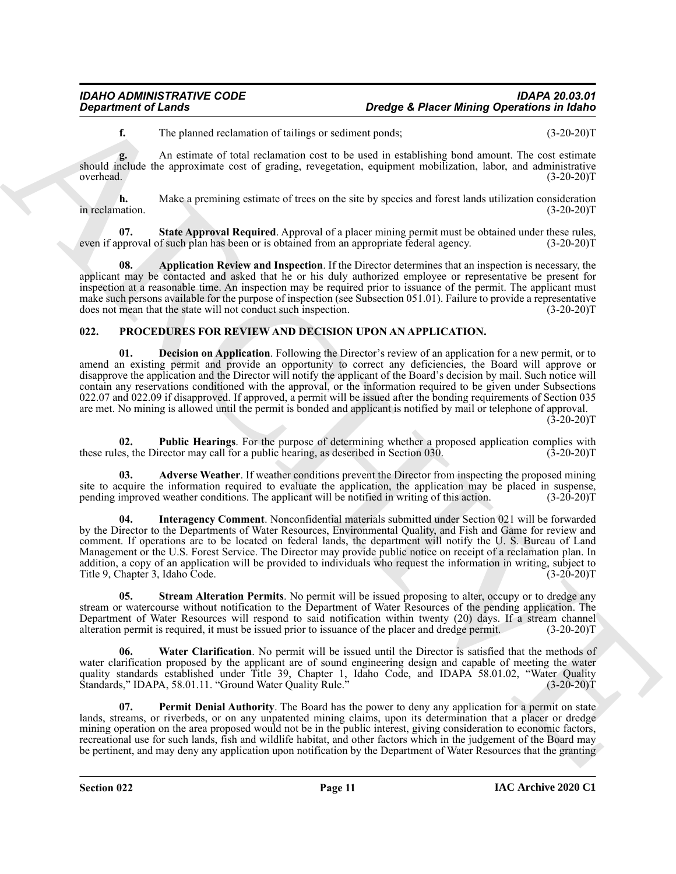**f.** The planned reclamation of tailings or sediment ponds; (3-20-20)T

**g.** An estimate of total reclamation cost to be used in establishing bond amount. The cost estimate should include the approximate cost of grading, revegetation, equipment mobilization, labor, and administrative overhead. (3-20-20)T

**h.** Make a premining estimate of trees on the site by species and forest lands utilization consideration (3-20-20) in reclamation.

<span id="page-10-2"></span>**07.** State Approval Required. Approval of a placer mining permit must be obtained under these rules, pproval of such plan has been or is obtained from an appropriate federal agency. (3-20-20) even if approval of such plan has been or is obtained from an appropriate federal agency.

<span id="page-10-1"></span>**08. Application Review and Inspection**. If the Director determines that an inspection is necessary, the applicant may be contacted and asked that he or his duly authorized employee or representative be present for inspection at a reasonable time. An inspection may be required prior to issuance of the permit. The applicant must make such persons available for the purpose of inspection (see Subsection 051.01). Failure to provide a representative does not mean that the state will not conduct such inspection. (3-20-20) does not mean that the state will not conduct such inspection.

### <span id="page-10-5"></span><span id="page-10-3"></span><span id="page-10-0"></span>**022. PROCEDURES FOR REVIEW AND DECISION UPON AN APPLICATION.**

**Department of Leady<br>
1.** The plane axis well advantage of relationship and the state in the state of the state of the state of the state of the state of the state of the state of the state of the state of the state of th **01. Decision on Application**. Following the Director's review of an application for a new permit, or to amend an existing permit and provide an opportunity to correct any deficiencies, the Board will approve or disapprove the application and the Director will notify the applicant of the Board's decision by mail. Such notice will contain any reservations conditioned with the approval, or the information required to be given under Subsections 022.07 and 022.09 if disapproved. If approved, a permit will be issued after the bonding requirements of Section 035 are met. No mining is allowed until the permit is bonded and applicant is notified by mail or telephone of approval.  $(3-20-20)T$ 

<span id="page-10-8"></span>**02. Public Hearings**. For the purpose of determining whether a proposed application complies with es, the Director may call for a public hearing, as described in Section 030. (3-20-20) these rules, the Director may call for a public hearing, as described in Section 030.

<span id="page-10-4"></span>**03. Adverse Weather**. If weather conditions prevent the Director from inspecting the proposed mining site to acquire the information required to evaluate the application, the application may be placed in suspense, pending improved weather conditions. The applicant will be notified in writing of this action. (3-20-20) pending improved weather conditions. The applicant will be notified in writing of this action.

<span id="page-10-6"></span>**04. Interagency Comment**. Nonconfidential materials submitted under Section 021 will be forwarded by the Director to the Departments of Water Resources, Environmental Quality, and Fish and Game for review and comment. If operations are to be located on federal lands, the department will notify the U. S. Bureau of Land Management or the U.S. Forest Service. The Director may provide public notice on receipt of a reclamation plan. In addition, a copy of an application will be provided to individuals who request the information in writing, subject to<br>Title 9. Chapter 3. Idaho Code. (3-20-20) Title 9, Chapter 3, Idaho Code.

<span id="page-10-9"></span>**05. Stream Alteration Permits**. No permit will be issued proposing to alter, occupy or to dredge any stream or watercourse without notification to the Department of Water Resources of the pending application. The Department of Water Resources will respond to said notification within twenty (20) days. If a stream channel alteration permit is required, it must be issued prior to issuance of the placer and dredge permit. (3-20-20)T alteration permit is required, it must be issued prior to issuance of the placer and dredge permit.

<span id="page-10-10"></span>**06. Water Clarification**. No permit will be issued until the Director is satisfied that the methods of water clarification proposed by the applicant are of sound engineering design and capable of meeting the water quality standards established under Title 39, Chapter 1, Idaho Code, and IDAPA 58.01.02, "Water Quality Standards," IDAPA, 58.01.11. "Ground Water Quality Rule." (3-20-20)T Standards," IDAPA, 58.01.11. "Ground Water Quality Rule."

<span id="page-10-7"></span>**07. Permit Denial Authority**. The Board has the power to deny any application for a permit on state lands, streams, or riverbeds, or on any unpatented mining claims, upon its determination that a placer or dredge mining operation on the area proposed would not be in the public interest, giving consideration to economic factors, recreational use for such lands, fish and wildlife habitat, and other factors which in the judgement of the Board may be pertinent, and may deny any application upon notification by the Department of Water Resources that the granting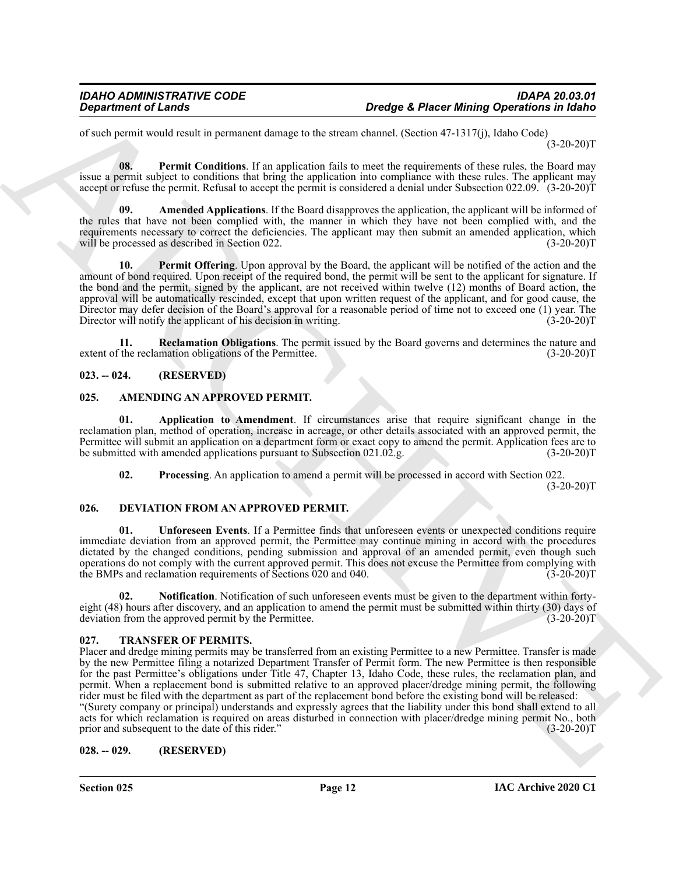of such permit would result in permanent damage to the stream channel. (Section 47-1317(j), Idaho Code)  $(3-20-20)T$ 

<span id="page-11-12"></span>**08. Permit Conditions**. If an application fails to meet the requirements of these rules, the Board may issue a permit subject to conditions that bring the application into compliance with these rules. The applicant may accept or refuse the permit. Refusal to accept the permit is considered a denial under Subsection 022.09. (3-20-20)T

<span id="page-11-11"></span>**09. Amended Applications**. If the Board disapproves the application, the applicant will be informed of the rules that have not been complied with, the manner in which they have not been complied with, and the requirements necessary to correct the deficiencies. The applicant may then submit an amended application, which will be processed as described in Section 022. (3-20-20)T

<span id="page-11-13"></span>**10. Permit Offering**. Upon approval by the Board, the applicant will be notified of the action and the amount of bond required. Upon receipt of the required bond, the permit will be sent to the applicant for signature. If the bond and the permit, signed by the applicant, are not received within twelve (12) months of Board action, the approval will be automatically rescinded, except that upon written request of the applicant, and for good cause, the Director may defer decision of the Board's approval for a reasonable period of time not to exceed one (1) year. The Director will notify the applicant of his decision in writing. (3-20-20) Director will notify the applicant of his decision in writing.

<span id="page-11-14"></span>**11. Reclamation Obligations**. The permit issued by the Board governs and determines the nature and the reclamation obligations of the Permittee. (3-20-20)<sup>T</sup> extent of the reclamation obligations of the Permittee.

### <span id="page-11-0"></span>**023. -- 024. (RESERVED)**

### <span id="page-11-5"></span><span id="page-11-1"></span>**025. AMENDING AN APPROVED PERMIT.**

**01. Application to Amendment**. If circumstances arise that require significant change in the reclamation plan, method of operation, increase in acreage, or other details associated with an approved permit, the Permittee will submit an application on a department form or exact copy to amend the permit. Application fees are to be submitted with amended applications pursuant to Subsection 021.02.g. (3-20-20)T be submitted with amended applications pursuant to Subsection 021.02.g.

<span id="page-11-10"></span><span id="page-11-8"></span><span id="page-11-7"></span><span id="page-11-6"></span>**02.** Processing. An application to amend a permit will be processed in accord with Section 022.

 $(3-20-20)T$ 

### <span id="page-11-2"></span>**026. DEVIATION FROM AN APPROVED PERMIT.**

**01. Unforeseen Events**. If a Permittee finds that unforeseen events or unexpected conditions require immediate deviation from an approved permit, the Permittee may continue mining in accord with the procedures dictated by the changed conditions, pending submission and approval of an amended permit, even though such operations do not comply with the current approved permit. This does not excuse the Permittee from complying with the BMPs and reclamation requirements of Sections 020 and 040. (3-20-20) f

<span id="page-11-9"></span>**02. Notification**. Notification of such unforeseen events must be given to the department within fortyeight (48) hours after discovery, and an application to amend the permit must be submitted within thirty (30) days of deviation from the approved permit by the Permittee. (3-20-20)T deviation from the approved permit by the Permittee.

### <span id="page-11-15"></span><span id="page-11-3"></span>**027. TRANSFER OF PERMITS.**

**Design density of Lendary<br>
Consideration** of the intermediations of the state of the state density of the constraints (Social Party 13-17). Make Consider the state of the state of the state of the state of the state of t Placer and dredge mining permits may be transferred from an existing Permittee to a new Permittee. Transfer is made by the new Permittee filing a notarized Department Transfer of Permit form. The new Permittee is then responsible for the past Permittee's obligations under Title 47, Chapter 13, Idaho Code, these rules, the reclamation plan, and permit. When a replacement bond is submitted relative to an approved placer/dredge mining permit, the following rider must be filed with the department as part of the replacement bond before the existing bond will be released: "(Surety company or principal) understands and expressly agrees that the liability under this bond shall extend to all acts for which reclamation is required on areas disturbed in connection with placer/dredge mining permit No., both prior and subsequent to the date of this rider." (3-20-20)T

### <span id="page-11-4"></span>**028. -- 029. (RESERVED)**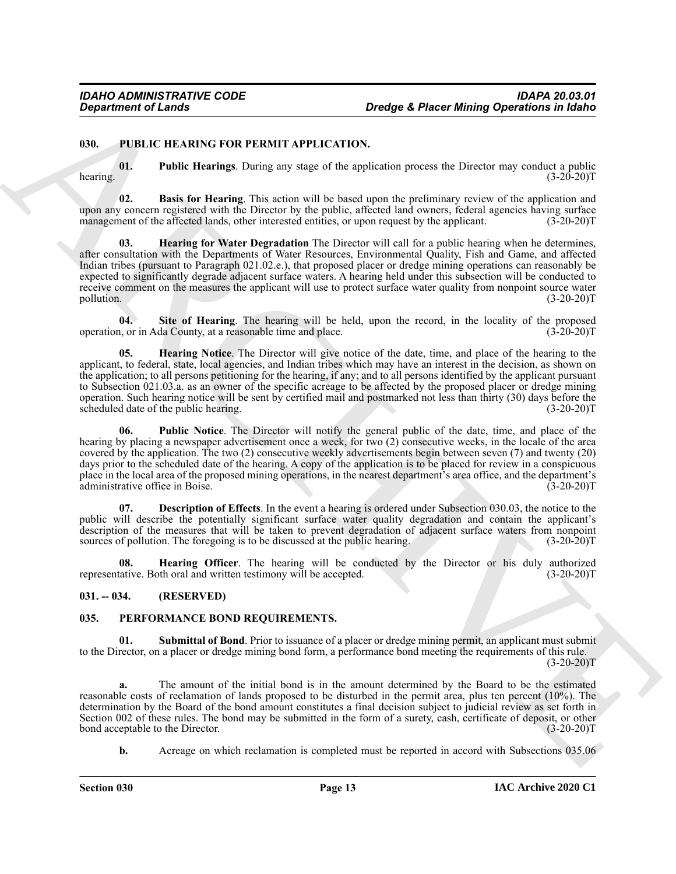#### <span id="page-12-5"></span><span id="page-12-0"></span>**030. PUBLIC HEARING FOR PERMIT APPLICATION.**

<span id="page-12-11"></span>**01. Public Hearings**. During any stage of the application process the Director may conduct a public hearing.  $(3-20-20)T$ 

<span id="page-12-8"></span><span id="page-12-6"></span>**02. Basis for Hearing**. This action will be based upon the preliminary review of the application and upon any concern registered with the Director by the public, affected land owners, federal agencies having surface management of the affected lands, other interested entities, or upon request by the applicant. (3-20-20)T

Design the result of the same of the same of the same of the same of the same of the same of the same of the same of the same of the same of the same of the same of the same of the same of the same of the same of the same **03. Hearing for Water Degradation** The Director will call for a public hearing when he determines, after consultation with the Departments of Water Resources, Environmental Quality, Fish and Game, and affected Indian tribes (pursuant to Paragraph 021.02.e.), that proposed placer or dredge mining operations can reasonably be expected to significantly degrade adjacent surface waters. A hearing held under this subsection will be conducted to receive comment on the measures the applicant will use to protect surface water quality from nonpoint source water pollution. (3-20-20)T pollution. (3-20-20)T

<span id="page-12-13"></span>**04. Site of Hearing**. The hearing will be held, upon the record, in the locality of the proposed operation, or in Ada County, at a reasonable time and place. (3-20-20)T

<span id="page-12-9"></span>**05. Hearing Notice**. The Director will give notice of the date, time, and place of the hearing to the applicant, to federal, state, local agencies, and Indian tribes which may have an interest in the decision, as shown on the application; to all persons petitioning for the hearing, if any; and to all persons identified by the applicant pursuant to Subsection 021.03.a. as an owner of the specific acreage to be affected by the proposed placer or dredge mining operation. Such hearing notice will be sent by certified mail and postmarked not less than thirty (30) days before the scheduled date of the public hearing.

<span id="page-12-12"></span>**06. Public Notice**. The Director will notify the general public of the date, time, and place of the hearing by placing a newspaper advertisement once a week, for two (2) consecutive weeks, in the locale of the area covered by the application. The two (2) consecutive weekly advertisements begin between seven (7) and twenty (20) days prior to the scheduled date of the hearing. A copy of the application is to be placed for review in a conspicuous place in the local area of the proposed mining operations, in the nearest department's area office, and the department's administrative office in Boise.

<span id="page-12-7"></span>**07. Description of Effects**. In the event a hearing is ordered under Subsection 030.03, the notice to the public will describe the potentially significant surface water quality degradation and contain the applicant's description of the measures that will be taken to prevent degradation of adjacent surface waters from nonpoint sources of pollution. The foregoing is to be discussed at the public hearing. (3-20-20)T

<span id="page-12-10"></span>**08. Hearing Officer**. The hearing will be conducted by the Director or his duly authorized tative. Both oral and written testimony will be accepted. (3-20-20)<sup>T</sup> representative. Both oral and written testimony will be accepted.

#### <span id="page-12-1"></span>**031. -- 034. (RESERVED)**

### <span id="page-12-3"></span><span id="page-12-2"></span>**035. PERFORMANCE BOND REQUIREMENTS.**

<span id="page-12-4"></span>**01. Submittal of Bond**. Prior to issuance of a placer or dredge mining permit, an applicant must submit to the Director, on a placer or dredge mining bond form, a performance bond meeting the requirements of this rule.  $(3-20-20)T$ 

**a.** The amount of the initial bond is in the amount determined by the Board to be the estimated reasonable costs of reclamation of lands proposed to be disturbed in the permit area, plus ten percent (10%). The determination by the Board of the bond amount constitutes a final decision subject to judicial review as set forth in Section 002 of these rules. The bond may be submitted in the form of a surety, cash, certificate of deposit, or other bond acceptable to the Director. (3-20-20) bond acceptable to the Director.

**b.** Acreage on which reclamation is completed must be reported in accord with Subsections 035.06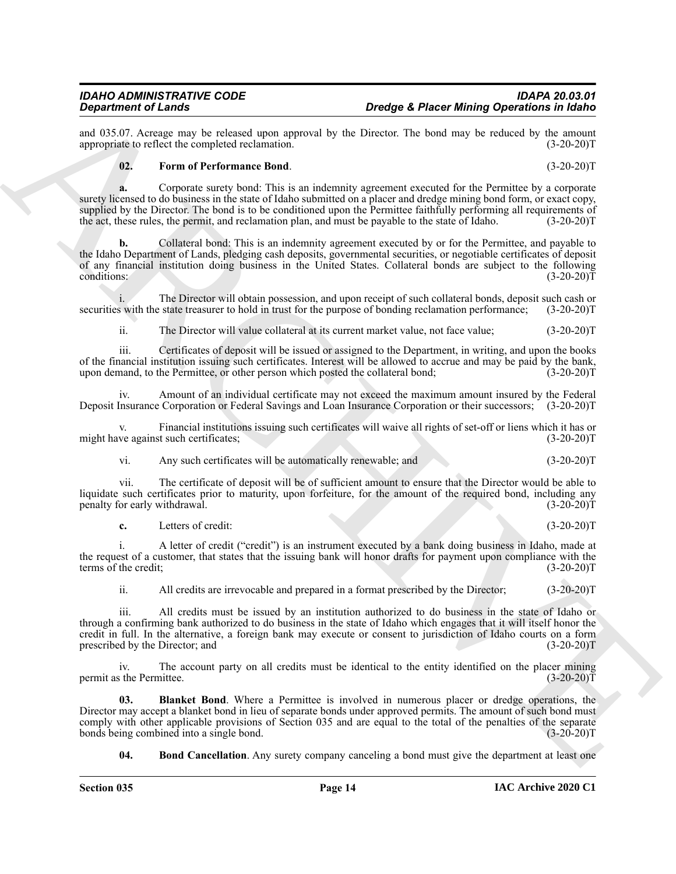and 035.07. Acreage may be released upon approval by the Director. The bond may be reduced by the amount appropriate to reflect the completed reclamation. (3-20-20) appropriate to reflect the completed reclamation.

#### <span id="page-13-2"></span>**02. Form of Performance Bond**. (3-20-20)T

**a.** Corporate surety bond: This is an indemnity agreement executed for the Permittee by a corporate surety licensed to do business in the state of Idaho submitted on a placer and dredge mining bond form, or exact copy, supplied by the Director. The bond is to be conditioned upon the Permittee faithfully performing all requirements of the act, these rules, the permit, and reclamation plan, and must be payable to the state of Idaho. (3-20-20)T

**Develop 4. Phone 1. Develop 4. Phone 1. Develop 4. Phone 1. Develop position is a lateration of the state of the state of the state of the state of the state of the state of the state of the state of the state of t b.** Collateral bond: This is an indemnity agreement executed by or for the Permittee, and payable to the Idaho Department of Lands, pledging cash deposits, governmental securities, or negotiable certificates of deposit of any financial institution doing business in the United States. Collateral bonds are subject to the following conditions:  $(3-20-20)T$ 

i. The Director will obtain possession, and upon receipt of such collateral bonds, deposit such cash or s with the state treasurer to hold in trust for the purpose of bonding reclamation performance; (3-20-20) securities with the state treasurer to hold in trust for the purpose of bonding reclamation performance;

ii. The Director will value collateral at its current market value, not face value; (3-20-20)T

iii. Certificates of deposit will be issued or assigned to the Department, in writing, and upon the books of the financial institution issuing such certificates. Interest will be allowed to accrue and may be paid by the bank, upon demand, to the Permittee, or other person which posted the collateral bond; (3-20-20)T

iv. Amount of an individual certificate may not exceed the maximum amount insured by the Federal Deposit Insurance Corporation or Federal Savings and Loan Insurance Corporation or their successors; (3-20-20)T

v. Financial institutions issuing such certificates will waive all rights of set-off or liens which it has or<br>(3-20-20)T<br>(3-20-20)T might have against such certificates;

vi. Any such certificates will be automatically renewable; and (3-20-20)T

vii. The certificate of deposit will be of sufficient amount to ensure that the Director would be able to liquidate such certificates prior to maturity, upon forfeiture, for the amount of the required bond, including any penalty for early withdrawal. (3-20-20) penalty for early withdrawal.

**c.** Letters of credit: (3-20-20)T

i. A letter of credit ("credit") is an instrument executed by a bank doing business in Idaho, made at the request of a customer, that states that the issuing bank will honor drafts for payment upon compliance with the terms of the credit; (3-20-20)T

ii. All credits are irrevocable and prepared in a format prescribed by the Director; (3-20-20)T

iii. All credits must be issued by an institution authorized to do business in the state of Idaho or through a confirming bank authorized to do business in the state of Idaho which engages that it will itself honor the credit in full. In the alternative, a foreign bank may execute or consent to jurisdiction of Idaho courts on a form prescribed by the Director; and

iv. The account party on all credits must be identical to the entity identified on the placer mining s the Permittee. (3-20-20) permit as the Permittee.

**03. Blanket Bond**. Where a Permittee is involved in numerous placer or dredge operations, the Director may accept a blanket bond in lieu of separate bonds under approved permits. The amount of such bond must comply with other applicable provisions of Section 035 and are equal to the total of the penalties of the separate<br>tonds being combined into a single bond. (3-20-20) bonds being combined into a single bond.

<span id="page-13-1"></span><span id="page-13-0"></span>**04. Bond Cancellation**. Any surety company canceling a bond must give the department at least one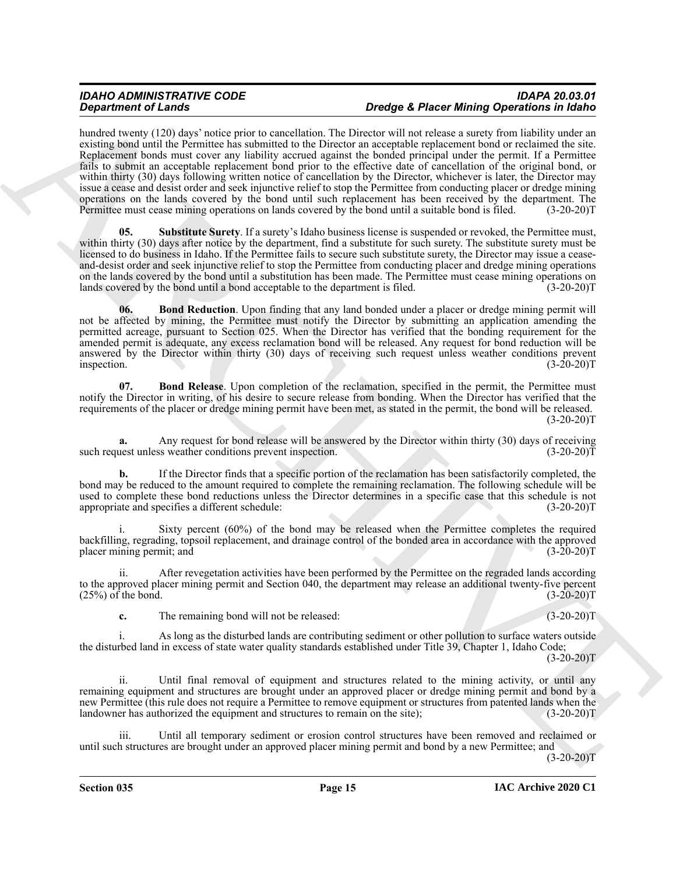### *IDAHO ADMINISTRATIVE CODE IDAPA 20.03.01 Dredge & Placer Mining Operations in Idaho*

*Organization of Lines between the state of the state of the state of the state in the state of the state of the state of the state of the state of the state of the state of the state of the state of the state of the st* hundred twenty (120) days' notice prior to cancellation. The Director will not release a surety from liability under an existing bond until the Permittee has submitted to the Director an acceptable replacement bond or reclaimed the site. Replacement bonds must cover any liability accrued against the bonded principal under the permit. If a Permittee fails to submit an acceptable replacement bond prior to the effective date of cancellation of the original bond, or within thirty (30) days following written notice of cancellation by the Director, whichever is later, the Director may issue a cease and desist order and seek injunctive relief to stop the Permittee from conducting placer or dredge mining operations on the lands covered by the bond until such replacement has been received by the department. The Permittee must cease mining operations on lands covered by the bond until a suitable bond is filed. (3-20-20)T

<span id="page-14-2"></span>**Substitute Surety**. If a surety's Idaho business license is suspended or revoked, the Permittee must, within thirty (30) days after notice by the department, find a substitute for such surety. The substitute surety must be licensed to do business in Idaho. If the Permittee fails to secure such substitute surety, the Director may issue a ceaseand-desist order and seek injunctive relief to stop the Permittee from conducting placer and dredge mining operations on the lands covered by the bond until a substitution has been made. The Permittee must cease mining operations on lands covered by the bond until a bond acceptable to the department is filed. (3-20-20)T

<span id="page-14-0"></span>**06. Bond Reduction**. Upon finding that any land bonded under a placer or dredge mining permit will not be affected by mining, the Permittee must notify the Director by submitting an application amending the permitted acreage, pursuant to Section 025. When the Director has verified that the bonding requirement for the amended permit is adequate, any excess reclamation bond will be released. Any request for bond reduction will be answered by the Director within thirty (30) days of receiving such request unless weather conditions prevent inspection. (3-20-20) inspection. (3-20-20)T

<span id="page-14-1"></span>**07. Bond Release**. Upon completion of the reclamation, specified in the permit, the Permittee must notify the Director in writing, of his desire to secure release from bonding. When the Director has verified that the requirements of the placer or dredge mining permit have been met, as stated in the permit, the bond will be released.  $(3-20-20)T$ 

**a.** Any request for bond release will be answered by the Director within thirty (30) days of receiving uest unless weather conditions prevent inspection.  $(3-20-20)$ such request unless weather conditions prevent inspection.

**b.** If the Director finds that a specific portion of the reclamation has been satisfactorily completed, the bond may be reduced to the amount required to complete the remaining reclamation. The following schedule will be used to complete these bond reductions unless the Director determines in a specific case that this schedule is not appropriate and specifies a different schedule: (3-20-20)T

Sixty percent  $(60%)$  of the bond may be released when the Permittee completes the required backfilling, regrading, topsoil replacement, and drainage control of the bonded area in accordance with the approved placer mining permit; and

ii. After revegetation activities have been performed by the Permittee on the regraded lands according to the approved placer mining permit and Section 040, the department may release an additional twenty-five percent (25%) of the bond. (3-20-20)T  $(25%)$  of the bond.

**c.** The remaining bond will not be released: (3-20-20)T

i. As long as the disturbed lands are contributing sediment or other pollution to surface waters outside the disturbed land in excess of state water quality standards established under Title 39, Chapter 1, Idaho Code;

 $(3-20-20)T$ 

ii. Until final removal of equipment and structures related to the mining activity, or until any remaining equipment and structures are brought under an approved placer or dredge mining permit and bond by a new Permittee (this rule does not require a Permittee to remove equipment or structures from patented lands when the landowner has authorized the equipment and structures to remain on the site); (3-20-20)T

iii. Until all temporary sediment or erosion control structures have been removed and reclaimed or until such structures are brought under an approved placer mining permit and bond by a new Permittee; and  $(3-20-20)$ T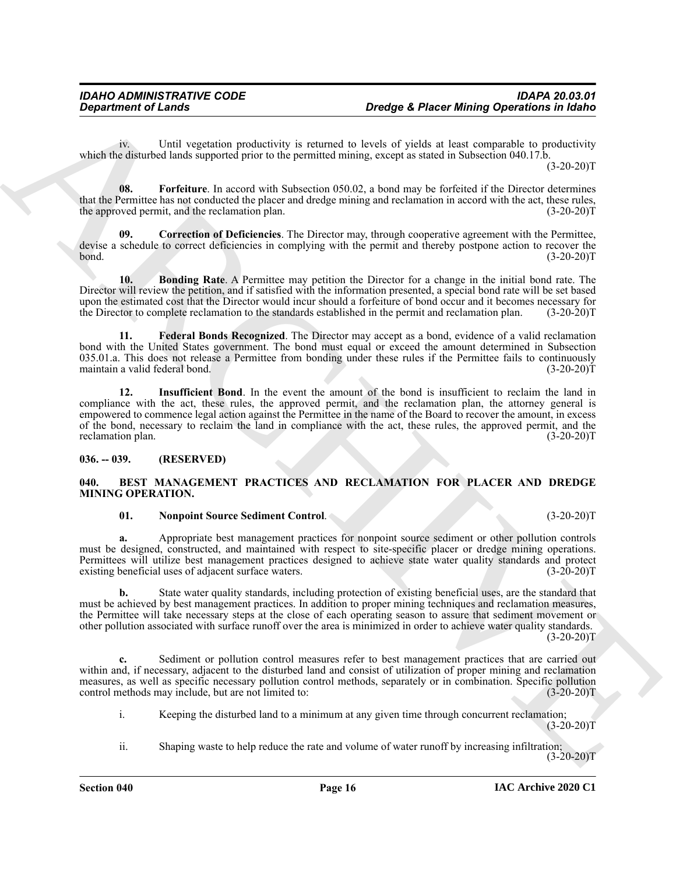iv. Until vegetation productivity is returned to levels of yields at least comparable to productivity which the disturbed lands supported prior to the permitted mining, except as stated in Subsection 040.17.b.

 $(3-20-20)T$ 

<span id="page-15-7"></span>**08. Forfeiture**. In accord with Subsection 050.02, a bond may be forfeited if the Director determines that the Permittee has not conducted the placer and dredge mining and reclamation in accord with the act, these rules, the approved permit, and the reclamation plan. (3-20-20) the approved permit, and the reclamation plan.

<span id="page-15-5"></span>**09. Correction of Deficiencies**. The Director may, through cooperative agreement with the Permittee, devise a schedule to correct deficiencies in complying with the permit and thereby postpone action to recover the bond. (3-20-20)T

<span id="page-15-4"></span>**10. Bonding Rate**. A Permittee may petition the Director for a change in the initial bond rate. The Director will review the petition, and if satisfied with the information presented, a special bond rate will be set based upon the estimated cost that the Director would incur should a forfeiture of bond occur and it becomes necessary for the Director to complete reclamation to the standards established in the permit and reclamation plan. (3-20-20)T

<span id="page-15-8"></span><span id="page-15-6"></span>**11. Federal Bonds Recognized**. The Director may accept as a bond, evidence of a valid reclamation bond with the United States government. The bond must equal or exceed the amount determined in Subsection 035.01.a. This does not release a Permittee from bonding under these rules if the Permittee fails to continuously maintain a valid federal bond.  $(3-20-20)$ maintain a valid federal bond.

**Designition of Lends<br>
Until agents are consistent to the second method, the constraint of the second method. The second method is a consent of the second method is a consent of the second method is a consent of the secon 12. Insufficient Bond**. In the event the amount of the bond is insufficient to reclaim the land in compliance with the act, these rules, the approved permit, and the reclamation plan, the attorney general is empowered to commence legal action against the Permittee in the name of the Board to recover the amount, in excess of the bond, necessary to reclaim the land in compliance with the act, these rules, the approved permit, and the reclamation plan. (3-20-20) reclamation plan.

### <span id="page-15-0"></span>**036. -- 039. (RESERVED)**

#### <span id="page-15-2"></span><span id="page-15-1"></span>**040. BEST MANAGEMENT PRACTICES AND RECLAMATION FOR PLACER AND DREDGE MINING OPERATION.**

#### <span id="page-15-3"></span>**01. Nonpoint Source Sediment Control**. (3-20-20)T

**a.** Appropriate best management practices for nonpoint source sediment or other pollution controls must be designed, constructed, and maintained with respect to site-specific placer or dredge mining operations. Permittees will utilize best management practices designed to achieve state water quality standards and protect existing beneficial uses of adjacent surface waters. (3-20-20) existing beneficial uses of adjacent surface waters.

**b.** State water quality standards, including protection of existing beneficial uses, are the standard that must be achieved by best management practices. In addition to proper mining techniques and reclamation measures, the Permittee will take necessary steps at the close of each operating season to assure that sediment movement or other pollution associated with surface runoff over the area is minimized in order to achieve water quality standards.  $(3-20-20)T$ 

**c.** Sediment or pollution control measures refer to best management practices that are carried out within and, if necessary, adjacent to the disturbed land and consist of utilization of proper mining and reclamation measures, as well as specific necessary pollution control methods, separately or in combination. Specific pollution control methods may include, but are not limited to: (3-20-20)T

i. Keeping the disturbed land to a minimum at any given time through concurrent reclamation;  $(3-20-20)T$ 

ii. Shaping waste to help reduce the rate and volume of water runoff by increasing infiltration; (3-20-20)T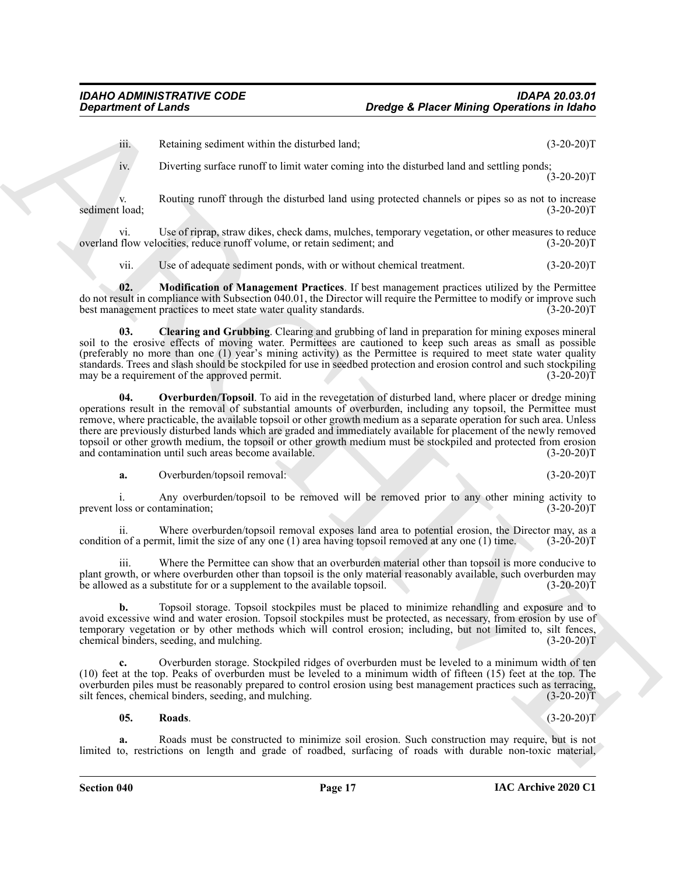iii. Retaining sediment within the disturbed land; (3-20-20)T

iv. Diverting surface runoff to limit water coming into the disturbed land and settling ponds;  $(3-20-20)T$ 

v. Routing runoff through the disturbed land using protected channels or pipes so as not to increase<br>(3-20-20)T sediment load; (3-20-20)T

vi. Use of riprap, straw dikes, check dams, mulches, temporary vegetation, or other measures to reduce overland flow velocities, reduce runoff volume, or retain sediment; and

<span id="page-16-1"></span><span id="page-16-0"></span>vii. Use of adequate sediment ponds, with or without chemical treatment. (3-20-20)T

**02. Modification of Management Practices**. If best management practices utilized by the Permittee do not result in compliance with Subsection 040.01, the Director will require the Permittee to modify or improve such best management practices to meet state water quality standards. (3-20-20) best management practices to meet state water quality standards.

**03. Clearing and Grubbing**. Clearing and grubbing of land in preparation for mining exposes mineral soil to the erosive effects of moving water. Permittees are cautioned to keep such areas as small as possible (preferably no more than one (1) year's mining activity) as the Permittee is required to meet state water quality standards. Trees and slash should be stockpiled for use in seedbed protection and erosion control and such stockpiling<br>may be a requirement of the approved permit. may be a requirement of the approved permit.

**Design contents of Lensin Constraints of Lensin Constraints of the Constraints of the Constraints of the Constraints of the Constraints of the Constraints of the Constraints of the Constraints of the Constraints of the C 04. Overburden/Topsoil**. To aid in the revegetation of disturbed land, where placer or dredge mining operations result in the removal of substantial amounts of overburden, including any topsoil, the Permittee must remove, where practicable, the available topsoil or other growth medium as a separate operation for such area. Unless there are previously disturbed lands which are graded and immediately available for placement of the newly removed topsoil or other growth medium, the topsoil or other growth medium must be stockpiled and protected from erosion and contamination until such areas become available. (3-20-20) and contamination until such areas become available.

<span id="page-16-2"></span>**a.** Overburden/topsoil removal: (3-20-20)T

i. Any overburden/topsoil to be removed will be removed prior to any other mining activity to oss or contamination;  $(3-20-20)T$ prevent loss or contamination;

ii. Where overburden/topsoil removal exposes land area to potential erosion, the Director may, as a condition of a permit, limit the size of any one (1) area having topsoil removed at any one (1) time.  $(3-20-20)T$ 

iii. Where the Permittee can show that an overburden material other than topsoil is more conducive to plant growth, or where overburden other than topsoil is the only material reasonably available, such overburden may<br>be allowed as a substitute for or a supplement to the available topsoil. (3-20-20) be allowed as a substitute for or a supplement to the available topsoil.

**b.** Topsoil storage. Topsoil stockpiles must be placed to minimize rehandling and exposure and to avoid excessive wind and water erosion. Topsoil stockpiles must be protected, as necessary, from erosion by use of temporary vegetation or by other methods which will control erosion; including, but not limited to, silt fences, chemical binders, seeding, and mulching. (3-20-20)T

**c.** Overburden storage. Stockpiled ridges of overburden must be leveled to a minimum width of ten (10) feet at the top. Peaks of overburden must be leveled to a minimum width of fifteen (15) feet at the top. The overburden piles must be reasonably prepared to control erosion using best management practices such as terracing, silt fences, chemical binders, seeding, and mulching. (3-20-20)T

### <span id="page-16-3"></span>**05. Roads**. (3-20-20)T

**a.** Roads must be constructed to minimize soil erosion. Such construction may require, but is not limited to, restrictions on length and grade of roadbed, surfacing of roads with durable non-toxic material,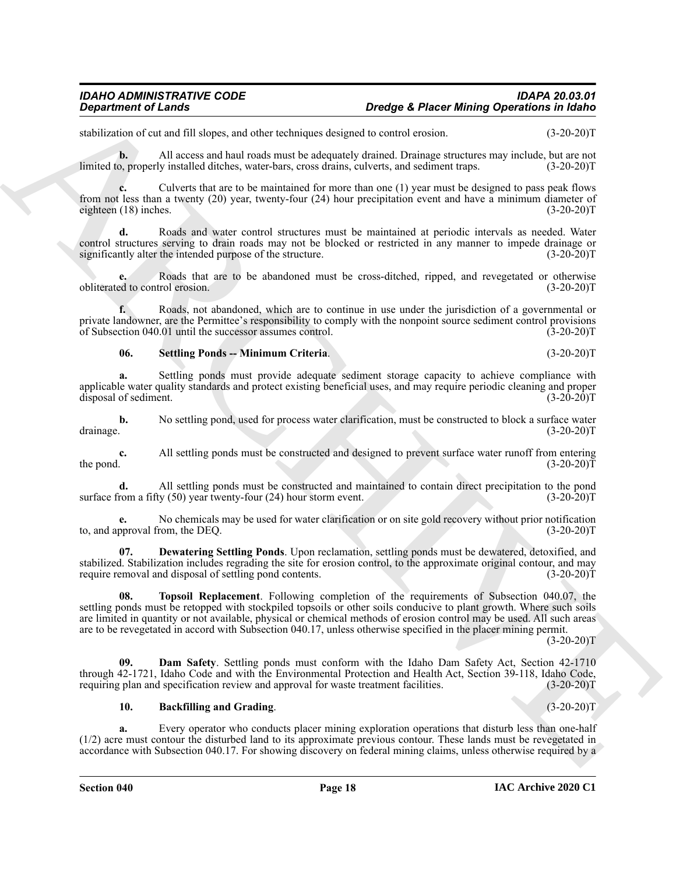stabilization of cut and fill slopes, and other techniques designed to control erosion. (3-20-20)T

**b.** All access and haul roads must be adequately drained. Drainage structures may include, but are not o. properly installed ditches, water-bars, cross drains, culverts, and sediment traps. (3-20-20) limited to, properly installed ditches, water-bars, cross drains, culverts, and sediment traps.

**c.** Culverts that are to be maintained for more than one (1) year must be designed to pass peak flows from not less than a twenty (20) year, twenty-four (24) hour precipitation event and have a minimum diameter of eighteen (18) inches. (3-20-20) eighteen  $(18)$  inches.

**d.** Roads and water control structures must be maintained at periodic intervals as needed. Water control structures serving to drain roads may not be blocked or restricted in any manner to impede drainage or significantly alter the intended purpose of the structure. (3-20-20) significantly alter the intended purpose of the structure.

**e.** Roads that are to be abandoned must be cross-ditched, ripped, and revegetated or otherwise obliterated to control erosion. (3-20-20)T

**f.** Roads, not abandoned, which are to continue in use under the jurisdiction of a governmental or private landowner, are the Permittee's responsibility to comply with the nonpoint source sediment control provisions of Subsection 040.01 until the successor assumes control. (3-20-20)T

### <span id="page-17-3"></span>**06. Settling Ponds -- Minimum Criteria**. (3-20-20)T

Settling ponds must provide adequate sediment storage capacity to achieve compliance with applicable water quality standards and protect existing beneficial uses, and may require periodic cleaning and proper<br>(3-20-20)T disposal of sediment.

**b.** No settling pond, used for process water clarification, must be constructed to block a surface water drainage.  $(3-20-20)T$ drainage. (3-20-20)T

**c.** All settling ponds must be constructed and designed to prevent surface water runoff from entering the pond.  $(3-20-20)T$ the pond.  $(3-20-20)T$ 

**d.** All settling ponds must be constructed and maintained to contain direct precipitation to the pond surface from a fifty (50) year twenty-four (24) hour storm event. (3-20-20)T

**e.** No chemicals may be used for water clarification or on site gold recovery without prior notification proval from, the DEO. (3-20-20) to, and approval from, the DEQ.

<span id="page-17-4"></span><span id="page-17-2"></span>**07. Dewatering Settling Ponds**. Upon reclamation, settling ponds must be dewatered, detoxified, and stabilized. Stabilization includes regrading the site for erosion control, to the approximate original contour, and may require removal and disposal of settling pond contents. (3-20-20) require removal and disposal of settling pond contents.

**Design transfer of Lensies**<br> **Design Constrained Christian** Constrained Christian Christian Christian Christian Christian Christian Christian Christian Christian Christian Christian Christian Christian Christian Christia **08. Topsoil Replacement**. Following completion of the requirements of Subsection 040.07, the settling ponds must be retopped with stockpiled topsoils or other soils conducive to plant growth. Where such soils are limited in quantity or not available, physical or chemical methods of erosion control may be used. All such areas are to be revegetated in accord with Subsection 040.17, unless otherwise specified in the placer mining permit.

 $(3-20-20)T$ 

**09. Dam Safety**. Settling ponds must conform with the Idaho Dam Safety Act, Section 42-1710 through 42-1721, Idaho Code and with the Environmental Protection and Health Act, Section 39-118, Idaho Code, requiring plan and specification review and approval for waste treatment facilities. (3-20-20)T requiring plan and specification review and approval for waste treatment facilities.

#### <span id="page-17-1"></span><span id="page-17-0"></span>**10. Backfilling and Grading**. (3-20-20)T

**a.** Every operator who conducts placer mining exploration operations that disturb less than one-half (1/2) acre must contour the disturbed land to its approximate previous contour. These lands must be revegetated in accordance with Subsection 040.17. For showing discovery on federal mining claims, unless otherwise required by a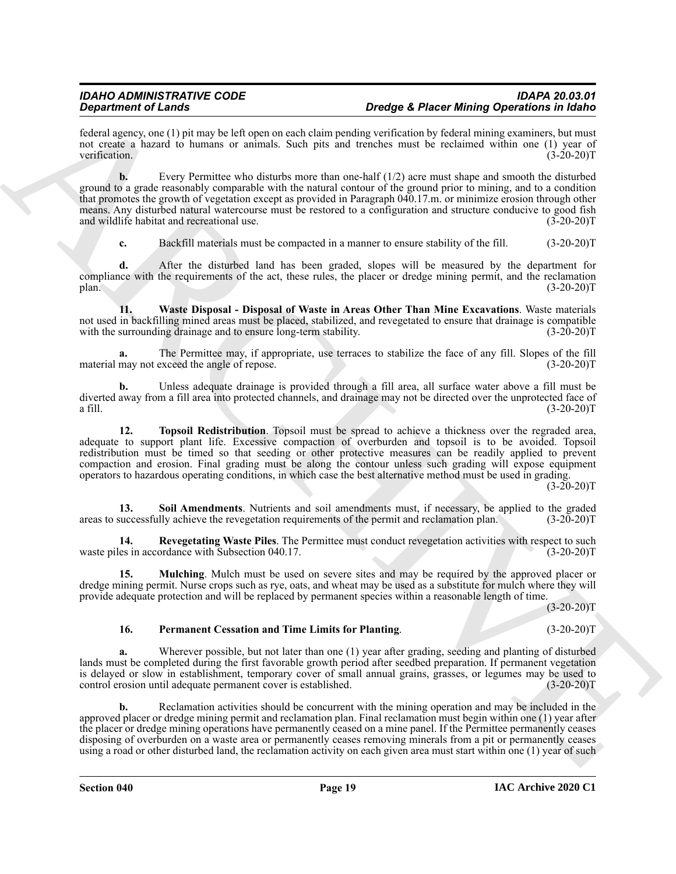federal agency, one (1) pit may be left open on each claim pending verification by federal mining examiners, but must not create a hazard to humans or animals. Such pits and trenches must be reclaimed within one (1) year of verification. (3-20-20) verification. (3-20-20)T

**Dependent of Lange stress** of the term of the propose of the continue the continue of the continue of the continue of the continue of the continue of the continue of the continue of the continue of the continue of the co **b.** Every Permittee who disturbs more than one-half (1/2) acre must shape and smooth the disturbed ground to a grade reasonably comparable with the natural contour of the ground prior to mining, and to a condition that promotes the growth of vegetation except as provided in Paragraph 040.17.m. or minimize erosion through other means. Any disturbed natural watercourse must be restored to a configuration and structure conducive to good fish<br>and wildlife habitat and recreational use. (3-20-20) and wildlife habitat and recreational use.

<span id="page-18-5"></span>**c.** Backfill materials must be compacted in a manner to ensure stability of the fill. (3-20-20)T

**d.** After the disturbed land has been graded, slopes will be measured by the department for compliance with the requirements of the act, these rules, the placer or dredge mining permit, and the reclamation plan. (3-20-20)T

**11. Waste Disposal - Disposal of Waste in Areas Other Than Mine Excavations**. Waste materials not used in backfilling mined areas must be placed, stabilized, and revegetated to ensure that drainage is compatible with the surrounding drainage and to ensure long-term stability. (3-20-20)T

The Permittee may, if appropriate, use terraces to stabilize the face of any fill. Slopes of the fill exceed the angle of repose. (3-20-20)<sup>T</sup> material may not exceed the angle of repose.

**b.** Unless adequate drainage is provided through a fill area, all surface water above a fill must be diverted away from a fill area into protected channels, and drainage may not be directed over the unprotected face of a fill. (3-20-20) a fill.  $(3-20-20)T$ 

<span id="page-18-4"></span>**12. Topsoil Redistribution**. Topsoil must be spread to achieve a thickness over the regraded area, adequate to support plant life. Excessive compaction of overburden and topsoil is to be avoided. Topsoil redistribution must be timed so that seeding or other protective measures can be readily applied to prevent compaction and erosion. Final grading must be along the contour unless such grading will expose equipment operators to hazardous operating conditions, in which case the best alternative method must be used in grading.

 $(3-20-20)T$ 

<span id="page-18-3"></span>**13.** Soil Amendments. Nutrients and soil amendments must, if necessary, be applied to the graded successfully achieve the revegetation requirements of the permit and reclamation plan. (3-20-20)T areas to successfully achieve the revegetation requirements of the permit and reclamation plan.

<span id="page-18-2"></span>**14. Revegetating Waste Piles**. The Permittee must conduct revegetation activities with respect to such waste piles in accordance with Subsection 040.17. (3-20-20) T

**15. Mulching**. Mulch must be used on severe sites and may be required by the approved placer or dredge mining permit. Nurse crops such as rye, oats, and wheat may be used as a substitute for mulch where they will provide adequate protection and will be replaced by permanent species within a reasonable length of time.

 $(3-20-20)T$ 

### <span id="page-18-1"></span><span id="page-18-0"></span>**16. Permanent Cessation and Time Limits for Planting**. (3-20-20)T

**a.** Wherever possible, but not later than one (1) year after grading, seeding and planting of disturbed lands must be completed during the first favorable growth period after seedbed preparation. If permanent vegetation is delayed or slow in establishment, temporary cover of small annual grains, grasses, or legumes may be used to control erosion until adequate permanent cover is established. (3-20-20) control erosion until adequate permanent cover is established.

**b.** Reclamation activities should be concurrent with the mining operation and may be included in the approved placer or dredge mining permit and reclamation plan. Final reclamation must begin within one (1) year after the placer or dredge mining operations have permanently ceased on a mine panel. If the Permittee permanently ceases disposing of overburden on a waste area or permanently ceases removing minerals from a pit or permanently ceases using a road or other disturbed land, the reclamation activity on each given area must start within one (1) year of such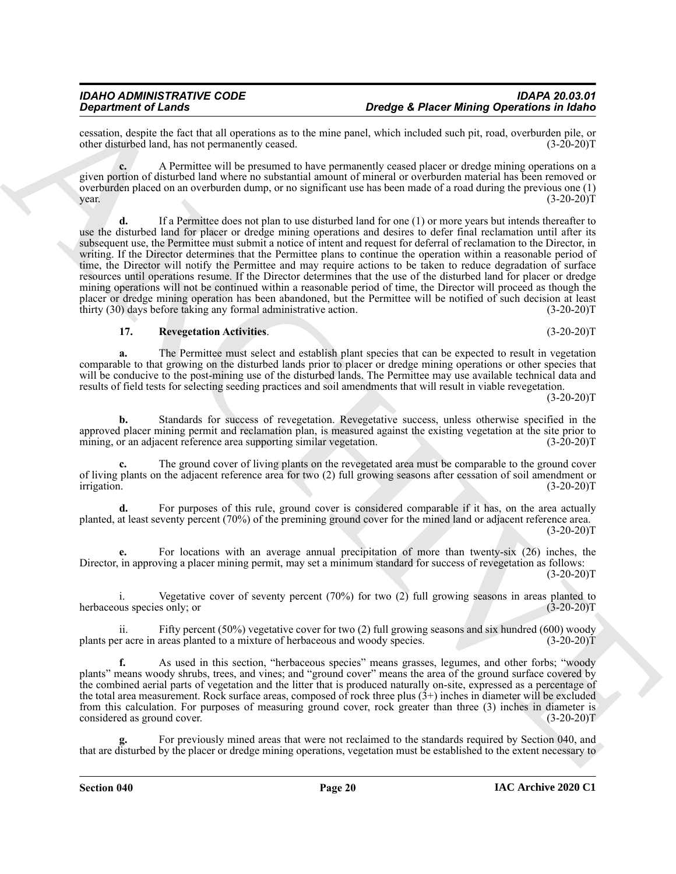cessation, despite the fact that all operations as to the mine panel, which included such pit, road, overburden pile, or other disturbed land, has not permanently ceased.

**c.** A Permittee will be presumed to have permanently ceased placer or dredge mining operations on a given portion of disturbed land where no substantial amount of mineral or overburden material has been removed or overburden placed on an overburden dump, or no significant use has been made of a road during the previous one (1)  $year.$  (3-20-20) $T$  (3-20-20) $T$ 

**Develope A. Phone Marine of Laboration** and the time parameters and the interior of the statistic of the statistic of the statistic of the statistic of the statistic of the statistic of the statistic of the statistic of **d.** If a Permittee does not plan to use disturbed land for one (1) or more years but intends thereafter to use the disturbed land for placer or dredge mining operations and desires to defer final reclamation until after its subsequent use, the Permittee must submit a notice of intent and request for deferral of reclamation to the Director, in writing. If the Director determines that the Permittee plans to continue the operation within a reasonable period of time, the Director will notify the Permittee and may require actions to be taken to reduce degradation of surface resources until operations resume. If the Director determines that the use of the disturbed land for placer or dredge mining operations will not be continued within a reasonable period of time, the Director will proceed as though the placer or dredge mining operation has been abandoned, but the Permittee will be notified of such decision at least thirty (30) days before taking any formal administrative action. (3-20-20)  $t$ hirty (30) days before taking any formal administrative action.

#### <span id="page-19-0"></span>**17. Revegetation Activities**. (3-20-20)T

**a.** The Permittee must select and establish plant species that can be expected to result in vegetation comparable to that growing on the disturbed lands prior to placer or dredge mining operations or other species that will be conducive to the post-mining use of the disturbed lands. The Permittee may use available technical data and results of field tests for selecting seeding practices and soil amendments that will result in viable revegetation.

 $(3-20-20)T$ 

**b.** Standards for success of revegetation. Revegetative success, unless otherwise specified in the approved placer mining permit and reclamation plan, is measured against the existing vegetation at the site prior to mining, or an adjacent reference area supporting similar vegetation. (3-20-20) mining, or an adjacent reference area supporting similar vegetation.

**c.** The ground cover of living plants on the revegetated area must be comparable to the ground cover of living plants on the adjacent reference area for two (2) full growing seasons after cessation of soil amendment or irrigation. (3-20-20)T irrigation. (3-20-20)T

For purposes of this rule, ground cover is considered comparable if it has, on the area actually planted, at least seventy percent (70%) of the premining ground cover for the mined land or adjacent reference area.  $(3-20-20)T$ 

**e.** For locations with an average annual precipitation of more than twenty-six (26) inches, the Director, in approving a placer mining permit, may set a minimum standard for success of revegetation as follows:  $(3-20-20)T$ 

i. Vegetative cover of seventy percent (70%) for two (2) full growing seasons in areas planted to us species only; or  $(3-20-20)$ herbaceous species only; or

ii. Fifty percent (50%) vegetative cover for two (2) full growing seasons and six hundred (600) woody plants per acre in areas planted to a mixture of herbaceous and woody species. (3-20-20)T

**f.** As used in this section, "herbaceous species" means grasses, legumes, and other forbs; "woody plants" means woody shrubs, trees, and vines; and "ground cover" means the area of the ground surface covered by the combined aerial parts of vegetation and the litter that is produced naturally on-site, expressed as a percentage of the total area measurement. Rock surface areas, composed of rock three plus (3+) inches in diameter will be excluded from this calculation. For purposes of measuring ground cover, rock greater than three (3) inches in diameter is considered as ground cover. (3-20-20) considered as ground cover.

For previously mined areas that were not reclaimed to the standards required by Section 040, and that are disturbed by the placer or dredge mining operations, vegetation must be established to the extent necessary to

*Dredge & Placer Mining Operations in Idaho* 

**IAC Archive 2020 C1**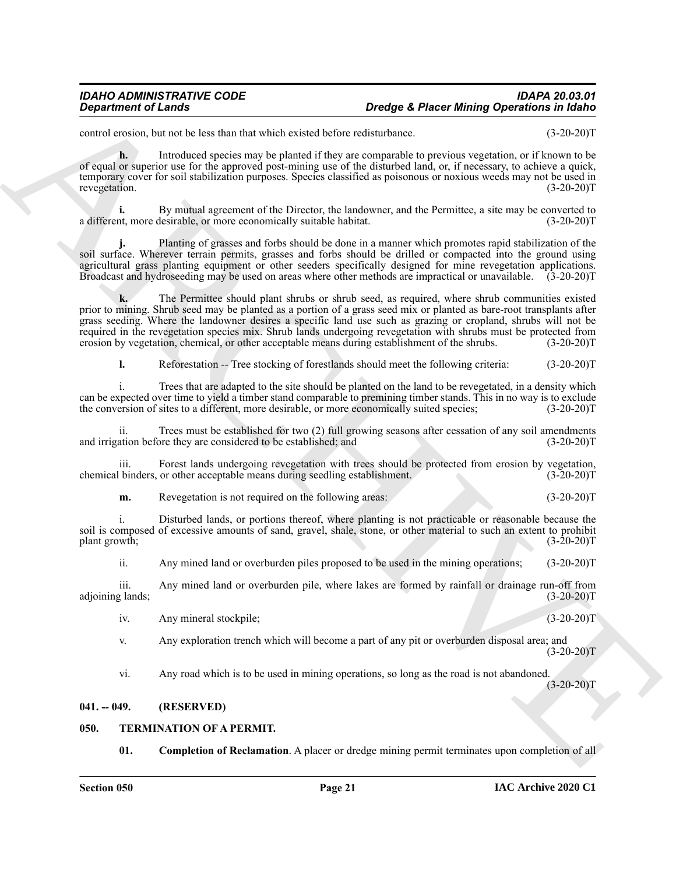#### *IDAHO ADMINISTRATIVE CODE IDAPA 20.03.01 Dredge & Placer Mining Operations in Idaho*

control erosion, but not be less than that which existed before redisturbance. (3-20-20)T

**h.** Introduced species may be planted if they are comparable to previous vegetation, or if known to be of equal or superior use for the approved post-mining use of the disturbed land, or, if necessary, to achieve a quick, temporary cover for soil stabilization purposes. Species classified as poisonous or noxious weeds may not be used in revegetation. (3-20-20)T

**i.** By mutual agreement of the Director, the landowner, and the Permittee, a site may be converted to the more economically suitable habitat. (3-20-20) a different, more desirable, or more economically suitable habitat.

**j.** Planting of grasses and forbs should be done in a manner which promotes rapid stabilization of the soil surface. Wherever terrain permits, grasses and forbs should be drilled or compacted into the ground using agricultural grass planting equipment or other seeders specifically designed for mine revegetation applications. Broadcast and hydroseeding may be used on areas where other methods are impractical or unavailable. (3-20-20)T

**Design Amient of Lendar<br>
Consider the Social Bank and lends the fact the bank and specified and the second of the Social Bank and the Society Consider the Social Bank and the Society Consider the Social Bank and the Soci k.** The Permittee should plant shrubs or shrub seed, as required, where shrub communities existed prior to mining. Shrub seed may be planted as a portion of a grass seed mix or planted as bare-root transplants after grass seeding. Where the landowner desires a specific land use such as grazing or cropland, shrubs will not be required in the revegetation species mix. Shrub lands undergoing revegetation with shrubs must be protected from erosion by vegetation, chemical, or other acceptable means during establishment of the shrubs. (3-20-20)T

**l.** Reforestation -- Tree stocking of forestlands should meet the following criteria:  $(3-20-20)T$ 

i. Trees that are adapted to the site should be planted on the land to be revegetated, in a density which can be expected over time to yield a timber stand comparable to premining timber stands. This in no way is to exclude<br>the conversion of sites to a different, more desirable, or more economically suited species; (3-20-20)T the conversion of sites to a different, more desirable, or more economically suited species;

ii. Trees must be established for two (2) full growing seasons after cessation of any soil amendments ation before they are considered to be established; and (3-20-20) and irrigation before they are considered to be established; and

iii. Forest lands undergoing revegetation with trees should be protected from erosion by vegetation, binders, or other acceptable means during seedling establishment. (3-20-20) chemical binders, or other acceptable means during seedling establishment.

**m.** Revegetation is not required on the following areas: (3-20-20)T

i. Disturbed lands, or portions thereof, where planting is not practicable or reasonable because the soil is composed of excessive amounts of sand, gravel, shale, stone, or other material to such an extent to prohibit plant growth;  $(3-20-20)T$ 

ii. Any mined land or overburden piles proposed to be used in the mining operations; (3-20-20)T

iii. Any mined land or overburden pile, where lakes are formed by rainfall or drainage run-off from g lands; (3-20-20) adjoining lands;

iv. Any mineral stockpile; (3-20-20)T

v. Any exploration trench which will become a part of any pit or overburden disposal area; and  $(3-20-20)T$ 

vi. Any road which is to be used in mining operations, so long as the road is not abandoned.  $(3-20-20)$ T

### <span id="page-20-0"></span>**041. -- 049. (RESERVED)**

### <span id="page-20-1"></span>**050. TERMINATION OF A PERMIT.**

<span id="page-20-3"></span><span id="page-20-2"></span>**01. Completion of Reclamation**. A placer or dredge mining permit terminates upon completion of all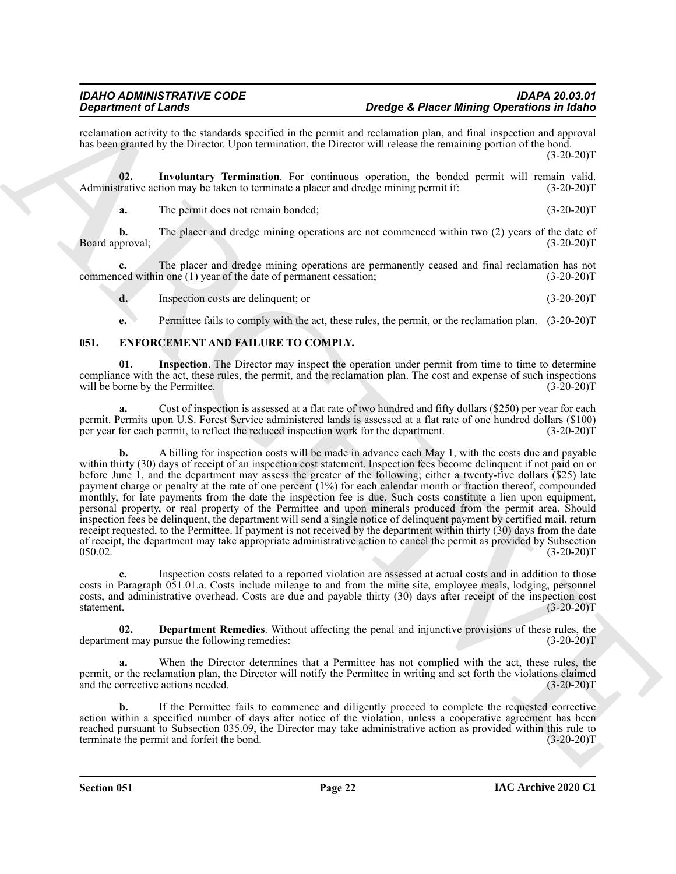reclamation activity to the standards specified in the permit and reclamation plan, and final inspection and approval has been granted by the Director. Upon termination, the Director will release the remaining portion of the bond.  $(3-20-20)T$ 

**02. Involuntary Termination**. For continuous operation, the bonded permit will remain valid. Administrative action may be taken to terminate a placer and dredge mining permit if:  $(3-20-20)T$ 

<span id="page-21-4"></span>**a.** The permit does not remain bonded; (3-20-20)T

**b.** The placer and dredge mining operations are not commenced within two (2) years of the date of pproval; (3-20-20) Board approval;

**c.** The placer and dredge mining operations are permanently ceased and final reclamation has not ced within one (1) year of the date of permanent cessation; (3-20-20) commenced within one  $(1)$  year of the date of permanent cessation;

**d.** Inspection costs are delinquent; or (3-20-20)T

<span id="page-21-3"></span><span id="page-21-1"></span>**e.** Permittee fails to comply with the act, these rules, the permit, or the reclamation plan.  $(3-20-20)T$ 

### <span id="page-21-0"></span>**051. ENFORCEMENT AND FAILURE TO COMPLY.**

**01. Inspection**. The Director may inspect the operation under permit from time to time to determine compliance with the act, these rules, the permit, and the reclamation plan. The cost and expense of such inspections will be borne by the Permittee. (3-20-20) will be borne by the Permittee.

**a.** Cost of inspection is assessed at a flat rate of two hundred and fifty dollars (\$250) per year for each permit. Permits upon U.S. Forest Service administered lands is assessed at a flat rate of one hundred dollars (\$100) per year for each permit, to reflect the reduced inspection work for the department. (3-20-20) per year for each permit, to reflect the reduced inspection work for the department.

**Department of Langt<br>
Construction** and the product of the product of the product of the second term in the material of the<br>
Solution product by defining the product of the product of the second second product of the seco **b.** A billing for inspection costs will be made in advance each May 1, with the costs due and payable within thirty (30) days of receipt of an inspection cost statement. Inspection fees become delinquent if not paid on or before June 1, and the department may assess the greater of the following; either a twenty-five dollars (\$25) late payment charge or penalty at the rate of one percent (1%) for each calendar month or fraction thereof, compounded monthly, for late payments from the date the inspection fee is due. Such costs constitute a lien upon equipment, personal property, or real property of the Permittee and upon minerals produced from the permit area. Should inspection fees be delinquent, the department will send a single notice of delinquent payment by certified mail, return receipt requested, to the Permittee. If payment is not received by the department within thirty (30) days from the date of receipt, the department may take appropriate administrative action to cancel the permit as provided by Subsection  $050.02$ .  $(3-20-20)$ T

**c.** Inspection costs related to a reported violation are assessed at actual costs and in addition to those costs in Paragraph 051.01.a. Costs include mileage to and from the mine site, employee meals, lodging, personnel costs, and administrative overhead. Costs are due and payable thirty (30) days after receipt of the inspection cost statement. (3-20-20) statement. **(3-20-20)T** (3-20-20)T

<span id="page-21-2"></span>**02. Department Remedies**. Without affecting the penal and injunctive provisions of these rules, the ent may pursue the following remedies: (3-20-20) department may pursue the following remedies:

When the Director determines that a Permittee has not complied with the act, these rules, the permit, or the reclamation plan, the Director will notify the Permittee in writing and set forth the violations claimed<br>(3-20-20)T and the corrective actions needed.

**b.** If the Permittee fails to commence and diligently proceed to complete the requested corrective action within a specified number of days after notice of the violation, unless a cooperative agreement has been reached pursuant to Subsection 035.09, the Director may take administrative action as provided within this rule to terminate the permit and forfeit the bond. (3-20-20) terminate the permit and forfeit the bond.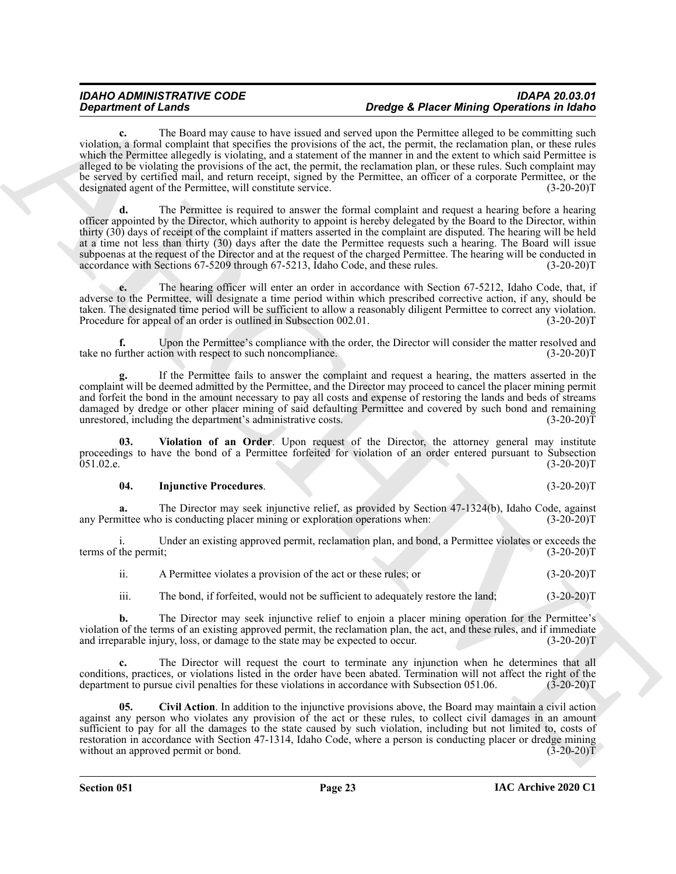### *IDAHO ADMINISTRATIVE CODE IDAPA 20.03.01 Dredge & Placer Mining Operations in Idaho*

**c.** The Board may cause to have issued and served upon the Permittee alleged to be committing such violation, a formal complaint that specifies the provisions of the act, the permit, the reclamation plan, or these rules which the Permittee allegedly is violating, and a statement of the manner in and the extent to which said Permittee is alleged to be violating the provisions of the act, the permit, the reclamation plan, or these rules. Such complaint may be served by certified mail, and return receipt, signed by the Permittee, an officer of a corporate Permittee, or the designated agent of the Permittee, will constitute service. (3-20-20) designated agent of the Permittee, will constitute service.

**Department of Lands<br>
Consider the Southern convention for any distribute of the Southern Christian Constitute of the Southern Christian Christian Christian Christian Christian Christian Christian Christian Christian Chri d.** The Permittee is required to answer the formal complaint and request a hearing before a hearing officer appointed by the Director, which authority to appoint is hereby delegated by the Board to the Director, within thirty (30) days of receipt of the complaint if matters asserted in the complaint are disputed. The hearing will be held at a time not less than thirty (30) days after the date the Permittee requests such a hearing. The Board will issue subpoenas at the request of the Director and at the request of the charged Permittee. The hearing will be conducted in accordance with Sections 67-5209 through 67-5213. Idaho Code, and these rules. (3-20-20) accordance with Sections 67-5209 through 67-5213, Idaho Code, and these rules.

**e.** The hearing officer will enter an order in accordance with Section 67-5212, Idaho Code, that, if adverse to the Permittee, will designate a time period within which prescribed corrective action, if any, should be taken. The designated time period will be sufficient to allow a reasonably diligent Permittee to correct any violation.<br>Procedure for appeal of an order is outlined in Subsection 002.01. (3-20-20) Procedure for appeal of an order is outlined in Subsection 002.01.

**f.** Upon the Permittee's compliance with the order, the Director will consider the matter resolved and urther action with respect to such noncompliance. (3-20-20) take no further action with respect to such noncompliance.

**g.** If the Permittee fails to answer the complaint and request a hearing, the matters asserted in the complaint will be deemed admitted by the Permittee, and the Director may proceed to cancel the placer mining permit and forfeit the bond in the amount necessary to pay all costs and expense of restoring the lands and beds of streams damaged by dredge or other placer mining of said defaulting Permittee and covered by such bond and remaining unrestored, including the department's administrative costs. (3-20-20) unrestored, including the department's administrative costs.

**03. Violation of an Order**. Upon request of the Director, the attorney general may institute proceedings to have the bond of a Permittee forfeited for violation of an order entered pursuant to Subsection 051.02.e. (3-20-20)T  $051.02.e.$  (3-20-20)T

### <span id="page-22-2"></span><span id="page-22-1"></span>**04. Injunctive Procedures**. (3-20-20)T

**a.** The Director may seek injunctive relief, as provided by Section 47-1324(b), Idaho Code, against nittee who is conducting placer mining or exploration operations when: (3-20-20) any Permittee who is conducting placer mining or exploration operations when:

i. Under an existing approved permit, reclamation plan, and bond, a Permittee violates or exceeds the terms of the permit; (3-20-20)T

| A Permittee violates a provision of the act or these rules; or | $(3-20-20)T$ |
|----------------------------------------------------------------|--------------|
|----------------------------------------------------------------|--------------|

iii. The bond, if forfeited, would not be sufficient to adequately restore the land; (3-20-20)T

**b.** The Director may seek injunctive relief to enjoin a placer mining operation for the Permittee's violation of the terms of an existing approved permit, the reclamation plan, the act, and these rules, and if immediate and irreparable injury, loss, or damage to the state may be expected to occur. (3-20-20)T

**c.** The Director will request the court to terminate any injunction when he determines that all conditions, practices, or violations listed in the order have been abated. Termination will not affect the right of the department to pursue civil penalties for these violations in accordance with Subsection 051.06. (3-20department to pursue civil penalties for these violations in accordance with Subsection 051.06.

<span id="page-22-0"></span>**05. Civil Action**. In addition to the injunctive provisions above, the Board may maintain a civil action against any person who violates any provision of the act or these rules, to collect civil damages in an amount sufficient to pay for all the damages to the state caused by such violation, including but not limited to, costs of restoration in accordance with Section 47-1314, Idaho Code, where a person is conducting placer or dredge mining without an approved permit or bond. (3-20-20)T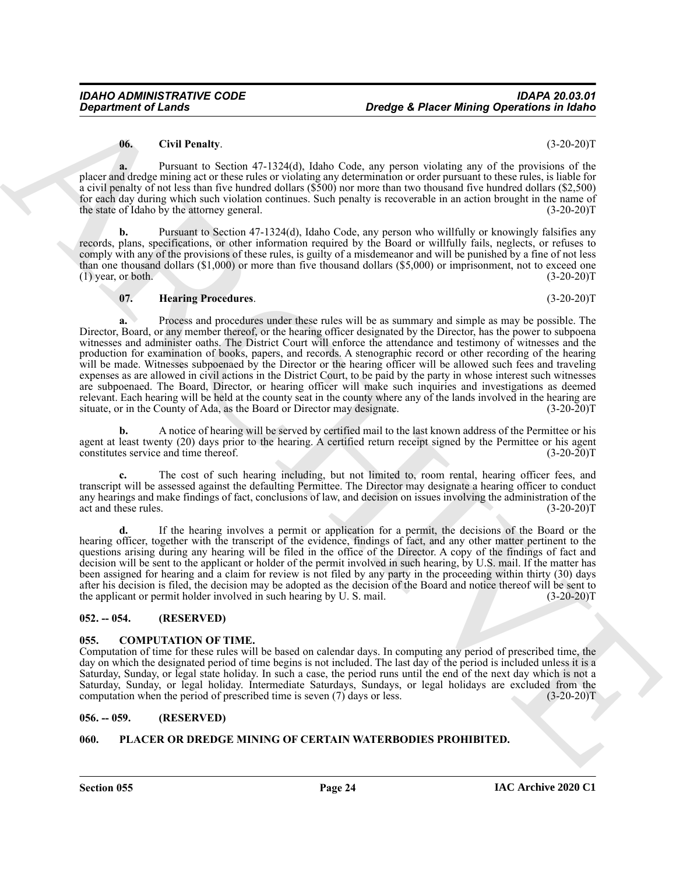#### <span id="page-23-5"></span>**06. Civil Penalty**. (3-20-20)T

**a.** Pursuant to Section 47-1324(d), Idaho Code, any person violating any of the provisions of the placer and dredge mining act or these rules or violating any determination or order pursuant to these rules, is liable for a civil penalty of not less than five hundred dollars (\$500) nor more than two thousand five hundred dollars (\$2,500) for each day during which such violation continues. Such penalty is recoverable in an action brought in the name of the state of Idaho by the attorney general. (3-20-20) the state of Idaho by the attorney general.

**b.** Pursuant to Section 47-1324(d), Idaho Code, any person who willfully or knowingly falsifies any records, plans, specifications, or other information required by the Board or willfully fails, neglects, or refuses to comply with any of the provisions of these rules, is guilty of a misdemeanor and will be punished by a fine of not less than one thousand dollars (\$1,000) or more than five thousand dollars (\$5,000) or imprisonment, not to exceed one (1) year, or both.  $(3-20-20)T$ 

#### <span id="page-23-6"></span>**07. Hearing Procedures**. (3-20-20)T

Department of Lenda<br>
Unrap Constraints of the Sales Column and the Sales Column system validing any of the probability of the Sales Column system of the Sales Column system of the Sales Column system of the Sales Column s **a.** Process and procedures under these rules will be as summary and simple as may be possible. The Director, Board, or any member thereof, or the hearing officer designated by the Director, has the power to subpoena witnesses and administer oaths. The District Court will enforce the attendance and testimony of witnesses and the production for examination of books, papers, and records. A stenographic record or other recording of the hearing will be made. Witnesses subpoenaed by the Director or the hearing officer will be allowed such fees and traveling expenses as are allowed in civil actions in the District Court, to be paid by the party in whose interest such witnesses are subpoenaed. The Board, Director, or hearing officer will make such inquiries and investigations as deemed relevant. Each hearing will be held at the county seat in the county where any of the lands involved in the hearing are situate, or in the County of Ada, as the Board or Director may designate. (3-20-20)T situate, or in the County of Ada, as the Board or Director may designate.

**b.** A notice of hearing will be served by certified mail to the last known address of the Permittee or his agent at least twenty (20) days prior to the hearing. A certified return receipt signed by the Permittee or his agent constitutes service and time thereof. (3-20-20) constitutes service and time thereof.

**c.** The cost of such hearing including, but not limited to, room rental, hearing officer fees, and transcript will be assessed against the defaulting Permittee. The Director may designate a hearing officer to conduct any hearings and make findings of fact, conclusions of law, and decision on issues involving the administration of the act and these rules. (3-20-20) act and these rules.

**d.** If the hearing involves a permit or application for a permit, the decisions of the Board or the hearing officer, together with the transcript of the evidence, findings of fact, and any other matter pertinent to the questions arising during any hearing will be filed in the office of the Director. A copy of the findings of fact and decision will be sent to the applicant or holder of the permit involved in such hearing, by U.S. mail. If the matter has been assigned for hearing and a claim for review is not filed by any party in the proceeding within thirty (30) days after his decision is filed, the decision may be adopted as the decision of the Board and notice thereof will be sent to the applicant or permit holder involved in such hearing by U. S. mail. (3-20-20) (3-20-20) (3-20-20)

### <span id="page-23-0"></span>**052. -- 054. (RESERVED)**

### <span id="page-23-4"></span><span id="page-23-1"></span>**055. COMPUTATION OF TIME.**

Computation of time for these rules will be based on calendar days. In computing any period of prescribed time, the day on which the designated period of time begins is not included. The last day of the period is included unless it is a Saturday, Sunday, or legal state holiday. In such a case, the period runs until the end of the next day which is not a Saturday, Sunday, or legal holiday. Intermediate Saturdays, Sundays, or legal holidays are excluded from the computation when the period of prescribed time is seven (7) days or less. (3-20-20)T

### <span id="page-23-2"></span>**056. -- 059. (RESERVED)**

### <span id="page-23-7"></span><span id="page-23-3"></span>**060. PLACER OR DREDGE MINING OF CERTAIN WATERBODIES PROHIBITED.**

**Section 055 Page 24**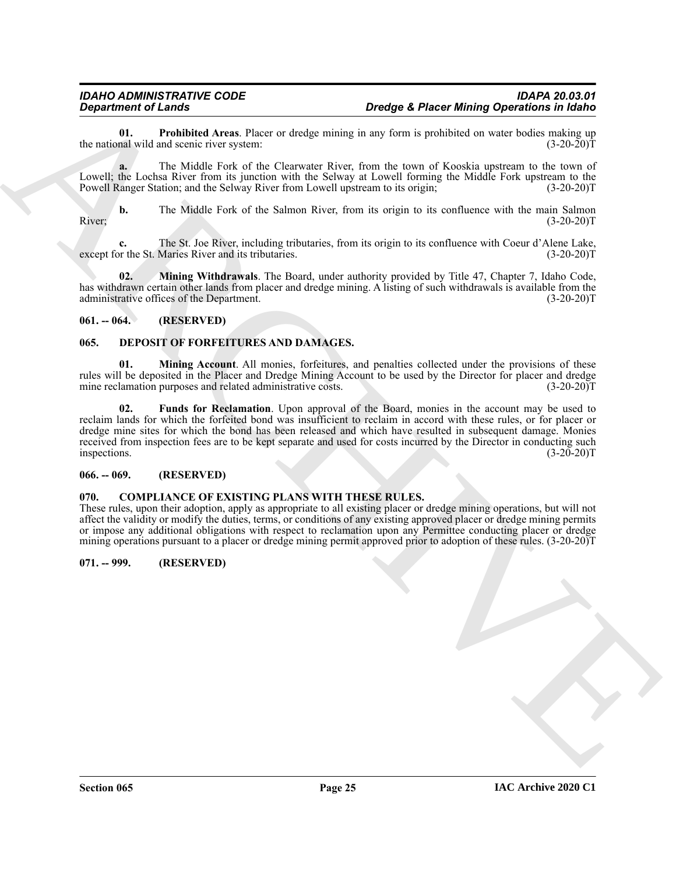<span id="page-24-10"></span>**01. Prohibited Areas**. Placer or dredge mining in any form is prohibited on water bodies making up the national wild and scenic river system:

**a.** The Middle Fork of the Clearwater River, from the town of Kooskia upstream to the town of Lowell; the Lochsa River from its junction with the Selway at Lowell forming the Middle Fork upstream to the Powell Ranger Station; and the Selway River from Lowell upstream to its origin; (3-20-20)T

**b.** The Middle Fork of the Salmon River, from its origin to its confluence with the main Salmon River; (3-20-20)T

**c.** The St. Joe River, including tributaries, from its origin to its confluence with Coeur d'Alene Lake, or the St. Maries River and its tributaries. (3-20-20)T except for the St. Maries River and its tributaries.

<span id="page-24-9"></span>**02. Mining Withdrawals**. The Board, under authority provided by Title 47, Chapter 7, Idaho Code, has withdrawn certain other lands from placer and dredge mining. A listing of such withdrawals is available from the administrative offices of the Department. (3-20-20)T

#### <span id="page-24-0"></span>**061. -- 064. (RESERVED)**

### <span id="page-24-6"></span><span id="page-24-1"></span>**065. DEPOSIT OF FORFEITURES AND DAMAGES.**

<span id="page-24-8"></span><span id="page-24-7"></span>**01. Mining Account**. All monies, forfeitures, and penalties collected under the provisions of these rules will be deposited in the Placer and Dredge Mining Account to be used by the Director for placer and dredge mine reclamation purposes and related administrative costs. (3-20-20) mine reclamation purposes and related administrative costs.

**Design the Cluster Construction** of the state of the point of the state of the state of the state of the state of the state of the state of the state of the state of the state of the state of the state of the state of th **02. Funds for Reclamation**. Upon approval of the Board, monies in the account may be used to reclaim lands for which the forfeited bond was insufficient to reclaim in accord with these rules, or for placer or dredge mine sites for which the bond has been released and which have resulted in subsequent damage. Monies received from inspection fees are to be kept separate and used for costs incurred by the Director in conducting such inspections. (3-20-20)T inspections. (3-20-20)T

#### <span id="page-24-2"></span>**066. -- 069. (RESERVED)**

#### <span id="page-24-5"></span><span id="page-24-3"></span>**070. COMPLIANCE OF EXISTING PLANS WITH THESE RULES.**

These rules, upon their adoption, apply as appropriate to all existing placer or dredge mining operations, but will not affect the validity or modify the duties, terms, or conditions of any existing approved placer or dredge mining permits or impose any additional obligations with respect to reclamation upon any Permittee conducting placer or dredge mining operations pursuant to a placer or dredge mining permit approved prior to adoption of these rules. (3-20-20)T

### <span id="page-24-4"></span>**071. -- 999. (RESERVED)**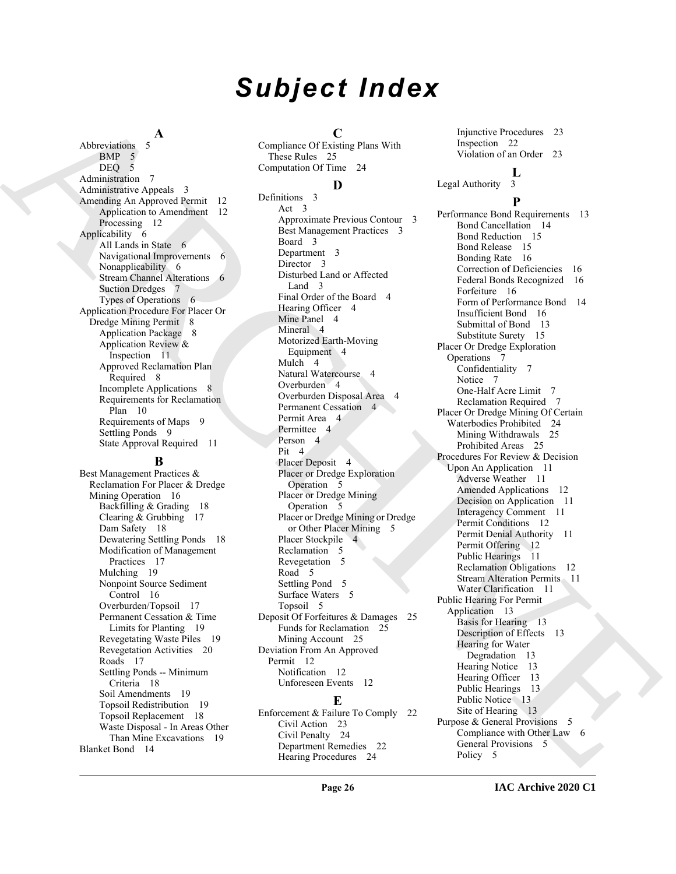# *Subject Index*

**A** Abbreviations 5

BMP 5 DEQ 5 Administration 7 Administrative Appeals 3 Amending An Approved Permit 12 Application to Amendment 12 Processing 12 Applicability 6 All Lands in State 6 Navigational Improvements 6 Nonapplicability 6 Stream Channel Alterations 6 Suction Dredges 7 Types of Operations 6 Application Procedure For Placer Or Dredge Mining Permit 8 Application Package 8 Application Review & Inspection 11 Approved Reclamation Plan Required 8 Incomplete Applications 8 Requirements for Reclamation Plan 10 Requirements of Maps 9 Settling Ponds 9 State Approval Required 11

#### **B**

Best Management Practices & Reclamation For Placer & Dredge Mining Operation 16 Backfilling & Grading 18 Clearing & Grubbing 17 Dam Safety 18 Dewatering Settling Ponds 18 Modification of Management Practices 17 Mulching 19 Nonpoint Source Sediment Control 16 Overburden/Topsoil 17 Permanent Cessation & Time Limits for Planting 19 Revegetating Waste Piles 19 Revegetation Activities 20 Roads 17 Settling Ponds -- Minimum Criteria 18 Soil Amendments 19 Topsoil Redistribution 19 Topsoil Replacement 18 Waste Disposal - In Areas Other Than Mine Excavations 19 Blanket Bond 14

**C**

Compliance Of Existing Plans With These Rules 25 Computation Of Time 24

### **D**

Definitions 3 Act 3 Approximate Previous Contour 3 Best Management Practices 3 Board 3 Department 3 Director 3 Disturbed Land or Affected Land<sub>3</sub> Final Order of the Board 4 Hearing Officer 4 Mine Panel 4 Mineral 4 Motorized Earth-Moving Equipment 4 Mulch 4 Natural Watercourse 4 Overburden 4 Overburden Disposal Area 4 Permanent Cessation 4 Permit Area 4 Permittee 4 Person<sub>4</sub> Pit 4 Placer Deposit 4 Placer or Dredge Exploration Operation 5 Placer or Dredge Mining Operation 5 Placer or Dredge Mining or Dredge or Other Placer Mining 5 Placer Stockpile 4 Reclamation 5 Revegetation 5 Road 5 Settling Pond 5 Surface Waters 5 Topsoil 5 Deposit Of Forfeitures & Damages 25 Funds for Reclamation 25 Mining Account 25 Deviation From An Approved Permit 12 Notification 12 Unforeseen Events 12

# **E**

Enforcement & Failure To Comply 22 Civil Action 23 Civil Penalty 24 Department Remedies 22 Hearing Procedures 24

Injunctive Procedures 23 Inspection 22 Violation of an Order 23

# $\frac{L}{3}$

Legal Authority

### **P**

[A](#page-4-2)[R](#page-7-1)[C](#page-3-4)[H](#page-4-5)[I](#page-4-6)[V](#page-12-5)[E](#page-12-8)S 3 (magnificant difference in the specifical matrix is the specifical matrix in the specifical matrix is the specifical matrix in the specifical matrix is the specifical matrix in the specifical matrix is the spec Performance Bond Requirements 13 Bond Cancellation 14 Bond Reduction 15 Bond Release 15 Bonding Rate 16 Correction of Deficiencies 16 Federal Bonds Recognized 16 Forfeiture 16 Form of Performance Bond 14 Insufficient Bond 16 Submittal of Bond 13 Substitute Surety 15 Placer Or Dredge Exploration Operations 7 Confidentiality 7 Notice 7 One-Half Acre Limit 7 Reclamation Required 7 Placer Or Dredge Mining Of Certain Waterbodies Prohibited 24 Mining Withdrawals 25 Prohibited Areas 25 Procedures For Review & Decision Upon An Application 11 Adverse Weather 11 Amended Applications 12 Decision on Application 11 Interagency Comment 11 Permit Conditions 12 Permit Denial Authority 11 Permit Offering 12 Public Hearings 11 Reclamation Obligations 12 Stream Alteration Permits 11 Water Clarification 11 Public Hearing For Permit Application 13 Basis for Hearing 13 Description of Effects 13 Hearing for Water Degradation 13 Hearing Notice 13 Hearing Officer 13 Public Hearings 13 Public Notice 13 Site of Hearing 13 Purpose & General Provisions 5 Compliance with Other Law 6 General Provisions 5 Policy<sub>5</sub>